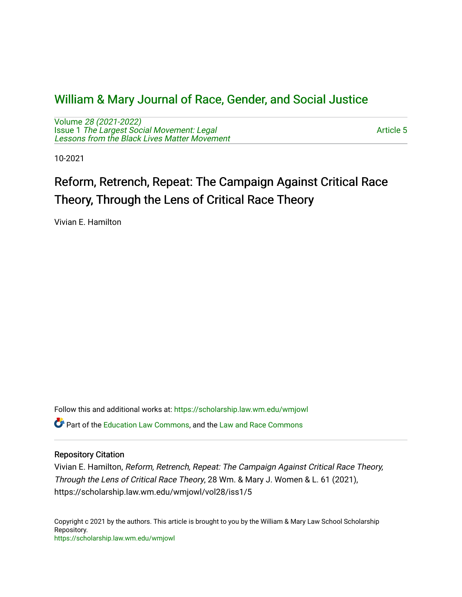# [William & Mary Journal of Race, Gender, and Social Justice](https://scholarship.law.wm.edu/wmjowl)

Volume [28 \(2021-2022\)](https://scholarship.law.wm.edu/wmjowl/vol28)  Issue 1 [The Largest Social Movement: Legal](https://scholarship.law.wm.edu/wmjowl/vol28/iss1) [Lessons from the Black Lives Matter Movement](https://scholarship.law.wm.edu/wmjowl/vol28/iss1) 

[Article 5](https://scholarship.law.wm.edu/wmjowl/vol28/iss1/5) 

10-2021

# Reform, Retrench, Repeat: The Campaign Against Critical Race Theory, Through the Lens of Critical Race Theory

Vivian E. Hamilton

Follow this and additional works at: [https://scholarship.law.wm.edu/wmjowl](https://scholarship.law.wm.edu/wmjowl?utm_source=scholarship.law.wm.edu%2Fwmjowl%2Fvol28%2Fiss1%2F5&utm_medium=PDF&utm_campaign=PDFCoverPages) 

**C** Part of the [Education Law Commons,](http://network.bepress.com/hgg/discipline/596?utm_source=scholarship.law.wm.edu%2Fwmjowl%2Fvol28%2Fiss1%2F5&utm_medium=PDF&utm_campaign=PDFCoverPages) and the Law and Race Commons

# Repository Citation

Vivian E. Hamilton, Reform, Retrench, Repeat: The Campaign Against Critical Race Theory, Through the Lens of Critical Race Theory, 28 Wm. & Mary J. Women & L. 61 (2021), https://scholarship.law.wm.edu/wmjowl/vol28/iss1/5

Copyright c 2021 by the authors. This article is brought to you by the William & Mary Law School Scholarship Repository. <https://scholarship.law.wm.edu/wmjowl>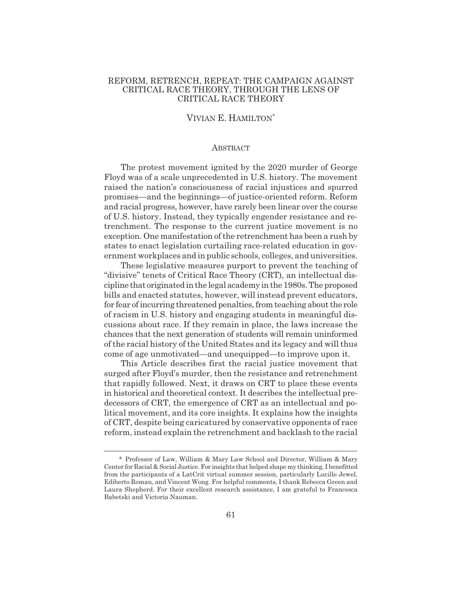# REFORM, RETRENCH, REPEAT: THE CAMPAIGN AGAINST CRITICAL RACE THEORY, THROUGH THE LENS OF CRITICAL RACE THEORY

# VIVIAN E. HAMILTON\*

#### **ABSTRACT**

The protest movement ignited by the 2020 murder of George Floyd was of a scale unprecedented in U.S. history. The movement raised the nation's consciousness of racial injustices and spurred promises—and the beginnings—of justice-oriented reform. Reform and racial progress, however, have rarely been linear over the course of U.S. history. Instead, they typically engender resistance and retrenchment. The response to the current justice movement is no exception. One manifestation of the retrenchment has been a rush by states to enact legislation curtailing race-related education in government workplaces and in public schools, colleges, and universities.

These legislative measures purport to prevent the teaching of "divisive" tenets of Critical Race Theory (CRT), an intellectual discipline that originated in the legal academy in the 1980s. The proposed bills and enacted statutes, however, will instead prevent educators, for fear of incurring threatened penalties, from teaching about the role of racism in U.S. history and engaging students in meaningful discussions about race. If they remain in place, the laws increase the chances that the next generation of students will remain uninformed of the racial history of the United States and its legacy and will thus come of age unmotivated—and unequipped—to improve upon it.

This Article describes first the racial justice movement that surged after Floyd's murder, then the resistance and retrenchment that rapidly followed. Next, it draws on CRT to place these events in historical and theoretical context. It describes the intellectual predecessors of CRT, the emergence of CRT as an intellectual and political movement, and its core insights. It explains how the insights of CRT, despite being caricatured by conservative opponents of race reform, instead explain the retrenchment and backlash to the racial

<sup>\*</sup> Professor of Law, William & Mary Law School and Director, William & Mary Center for Racial & Social Justice. For insights that helped shape my thinking, I benefitted from the participants of a LatCrit virtual summer session, particularly Lucille Jewel, Ediberto Roman, and Vincent Wong. For helpful comments, I thank Rebecca Green and Laura Shepherd. For their excellent research assistance, I am grateful to Francesca Babetski and Victoria Nauman.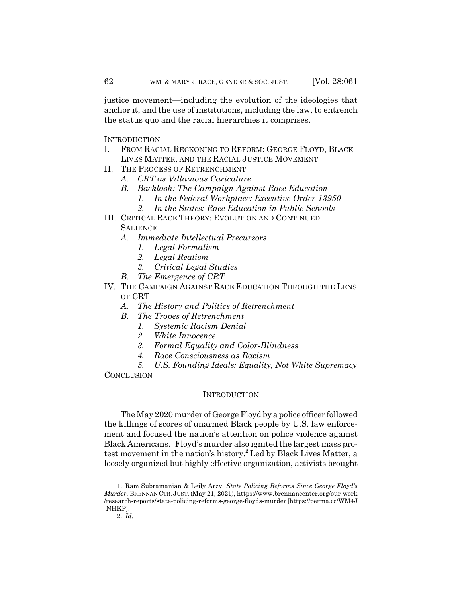justice movement—including the evolution of the ideologies that anchor it, and the use of institutions, including the law, to entrench the status quo and the racial hierarchies it comprises.

**INTRODUCTION** 

- I. FROM RACIAL RECKONING TO REFORM: GEORGE FLOYD, BLACK LIVES MATTER, AND THE RACIAL JUSTICE MOVEMENT
- II. THE PROCESS OF RETRENCHMENT
	- *A. CRT as Villainous Caricature*
	- *B. Backlash: The Campaign Against Race Education*
		- *1. In the Federal Workplace: Executive Order 13950*
		- *2. In the States: Race Education in Public Schools*
- III. CRITICAL RACE THEORY: EVOLUTION AND CONTINUED **SALIENCE** 
	- *A. Immediate Intellectual Precursors*
		- *1. Legal Formalism*
		- *2. Legal Realism*
		- *3. Critical Legal Studies*
	- *B. The Emergence of CRT*
- IV. THE CAMPAIGN AGAINST RACE EDUCATION THROUGH THE LENS OF CRT
	- *A. The History and Politics of Retrenchment*
	- *B. The Tropes of Retrenchment*
		- *1. Systemic Racism Denial*
		- *2. White Innocence*
		- *3. Formal Equality and Color-Blindness*
		- *4. Race Consciousness as Racism*

*5. U.S. Founding Ideals: Equality, Not White Supremacy* **CONCLUSION** 

# **INTRODUCTION**

The May 2020 murder of George Floyd by a police officer followed the killings of scores of unarmed Black people by U.S. law enforcement and focused the nation's attention on police violence against Black Americans.<sup>1</sup> Floyd's murder also ignited the largest mass protest movement in the nation's history.<sup>2</sup> Led by Black Lives Matter, a loosely organized but highly effective organization, activists brought

<sup>1.</sup> Ram Subramanian & Leily Arzy, *State Policing Reforms Since George Floyd's Murder*, BRENNAN CTR. JUST. (May 21, 2021), https://www.brennancenter.org/our-work /research-reports/state-policing-reforms-george-floyds-murder [https://perma.cc/WM4J -NHKP].

<sup>2.</sup> *Id.*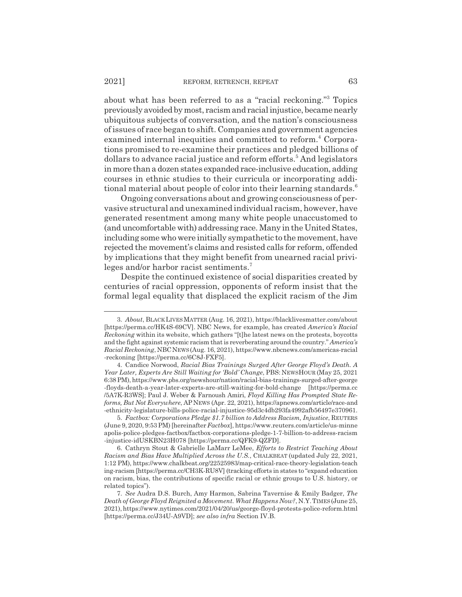about what has been referred to as a "racial reckoning."3 Topics previously avoided by most, racism and racial injustice, became nearly ubiquitous subjects of conversation, and the nation's consciousness of issues of race began to shift. Companies and government agencies examined internal inequities and committed to reform.<sup>4</sup> Corporations promised to re-examine their practices and pledged billions of dollars to advance racial justice and reform efforts.<sup>5</sup> And legislators in more than a dozen states expanded race-inclusive education, adding courses in ethnic studies to their curricula or incorporating additional material about people of color into their learning standards.<sup>6</sup>

Ongoing conversations about and growing consciousness of pervasive structural and unexamined individual racism, however, have generated resentment among many white people unaccustomed to (and uncomfortable with) addressing race. Many in the United States, including some who were initially sympathetic to the movement, have rejected the movement's claims and resisted calls for reform, offended by implications that they might benefit from unearned racial privileges and/or harbor racist sentiments.<sup>7</sup>

Despite the continued existence of social disparities created by centuries of racial oppression, opponents of reform insist that the formal legal equality that displaced the explicit racism of the Jim

<sup>3.</sup> *About*, BLACK LIVESMATTER (Aug. 16, 2021), https://blacklivesmatter.com/about [https://perma.cc/HK4S-69CV]. NBC News, for example, has created *America's Racial Reckoning* within its website, which gathers "[t]he latest news on the protests, boycotts and the fight against systemic racism that is reverberating around the country." *America's Racial Reckoning*, NBCNEWS(Aug. 16, 2021), https://www.nbcnews.com/americas-racial -reckoning [https://perma.cc/6C8J-FXF5].

<sup>4.</sup> Candice Norwood, *Racial Bias Trainings Surged After George Floyd's Death. A Year Later, Experts Are Still Waiting for 'Bold' Change*, PBS: NEWSHOUR (May 25, 2021 6:38 PM), https://www.pbs.org/newshour/nation/racial-bias-trainings-surged-after-george -floyds-death-a-year-later-experts-are-still-waiting-for-bold-change [https://perma.cc /5A7K-R3WS]; Paul J. Weber & Farnoush Amiri, *Floyd Killing Has Prompted State Reforms, But Not Everywhere*, AP NEWS (Apr. 22, 2021), https://apnews.com/article/race-and -ethnicity-legislature-bills-police-racial-injustice-95d3c4db293fa4992afb56497e370961.

<sup>5.</sup> *Factbox: Corporations Pledge \$1.7 billion to Address Racism, Injustice*, REUTERS (June 9, 2020, 9:53 PM) [hereinafter *Factbox*], https://www.reuters.com/article/us-minne apolis-police-pledges-factbox/factbox-corporations-pledge-1-7-billion-to-address-racism -injustice-idUSKBN23H078 [https://perma.cc/QFK9-QZFD].

<sup>6.</sup> Cathryn Stout & Gabrielle LaMarr LeMee, *Efforts to Restrict Teaching About Racism and Bias Have Multiplied Across the U.S.*, CHALKBEAT (updated July 22, 2021, 1:12 PM), https://www.chalkbeat.org/22525983/map-critical-race-theory-legislation-teach ing-racism [https://perma.cc/CH3K-RU8V] (tracking efforts in states to "expand education on racism, bias, the contributions of specific racial or ethnic groups to U.S. history, or related topics").

<sup>7.</sup> *See* Audra D.S. Burch, Amy Harmon, Sabrina Tavernise & Emily Badger, *The Death of George Floyd Reignited a Movement. What Happens Now?*, N.Y.TIMES(June 25, 2021), https://www.nytimes.com/2021/04/20/us/george-floyd-protests-police-reform.html [https://perma.cc/J34U-A9VD]; *see also infra* Section IV.B.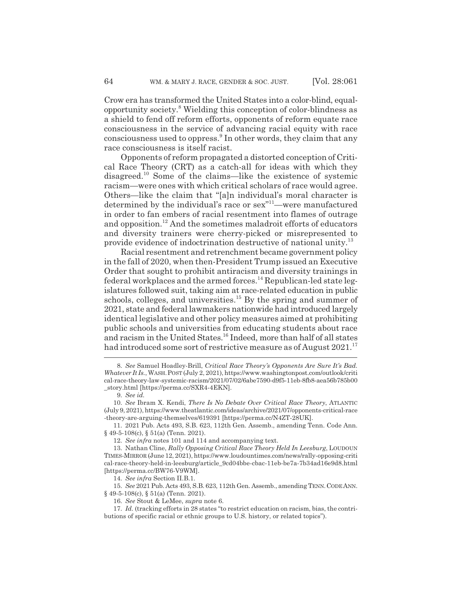Crow era has transformed the United States into a color-blind, equalopportunity society.<sup>8</sup> Wielding this conception of color-blindness as a shield to fend off reform efforts, opponents of reform equate race consciousness in the service of advancing racial equity with race consciousness used to oppress.<sup>9</sup> In other words, they claim that any race consciousness is itself racist.

Opponents of reform propagated a distorted conception of Critical Race Theory (CRT) as a catch-all for ideas with which they disagreed.10 Some of the claims—like the existence of systemic racism—were ones with which critical scholars of race would agree. Others—like the claim that "[a]n individual's moral character is determined by the individual's race or sex"11—were manufactured in order to fan embers of racial resentment into flames of outrage and opposition.12 And the sometimes maladroit efforts of educators and diversity trainers were cherry-picked or misrepresented to provide evidence of indoctrination destructive of national unity.13

Racial resentment and retrenchment became government policy in the fall of 2020, when then-President Trump issued an Executive Order that sought to prohibit antiracism and diversity trainings in federal workplaces and the armed forces.<sup>14</sup> Republican-led state legislatures followed suit, taking aim at race-related education in public schools, colleges, and universities.<sup>15</sup> By the spring and summer of 2021, state and federal lawmakers nationwide had introduced largely identical legislative and other policy measures aimed at prohibiting public schools and universities from educating students about race and racism in the United States.16 Indeed, more than half of all states had introduced some sort of restrictive measure as of August 2021.<sup>17</sup>

<sup>8.</sup> *See* Samuel Hoadley-Brill, *Critical Race Theory's Opponents Are Sure It's Bad. Whatever It Is.*, WASH.POST (July 2, 2021), https://www.washingtonpost.com/outlook/criti cal-race-theory-law-systemic-racism/2021/07/02/6abe7590-d9f5-11eb-8fb8-aea56b785b00 \_story.html [https://perma.cc/SXR4-4EKN].

<sup>9.</sup> *See id.*

<sup>10.</sup> *See* Ibram X. Kendi, *There Is No Debate Over Critical Race Theory*, ATLANTIC (July 9, 2021), https://www.theatlantic.com/ideas/archive/2021/07/opponents-critical-race -theory-are-arguing-themselves/619391 [https://perma.cc/N4ZT-28UK].

<sup>11. 2021</sup> Pub. Acts 493, S.B. 623, 112th Gen. Assemb., amending Tenn. Code Ann.  $\S$  49-5-108(c),  $\S$  51(a) (Tenn. 2021).

<sup>12.</sup> *See infra* notes 101 and 114 and accompanying text.

<sup>13.</sup> Nathan Cline, *Rally Opposing Critical Race Theory Held In Leesburg*, LOUDOUN TIMES-MIRROR (June 12, 2021), https://www.loudountimes.com/news/rally-opposing-criti cal-race-theory-held-in-leesburg/article\_9cd04bbe-cbac-11eb-be7a-7b34ad16e9d8.html [https://perma.cc/BW76-V9WM].

<sup>14.</sup> *See infra* Section II.B.1.

<sup>15.</sup> *See* 2021 Pub. Acts 493, S.B. 623, 112th Gen. Assemb., amending TENN.CODE ANN.  $§$  49-5-108(c),  $§$  51(a) (Tenn. 2021).

<sup>16.</sup> *See* Stout & LeMee, *supra* note 6.

<sup>17.</sup> *Id.* (tracking efforts in 28 states "to restrict education on racism, bias, the contributions of specific racial or ethnic groups to U.S. history, or related topics").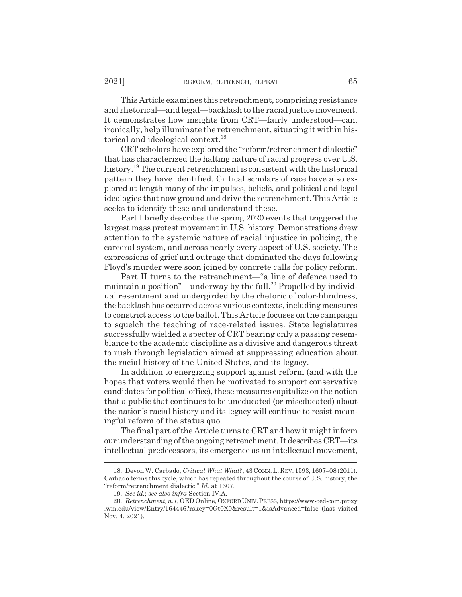This Article examines this retrenchment, comprising resistance and rhetorical—and legal—backlash to the racial justice movement. It demonstrates how insights from CRT—fairly understood—can, ironically, help illuminate the retrenchment, situating it within historical and ideological context.<sup>18</sup>

CRT scholars have explored the "reform/retrenchment dialectic" that has characterized the halting nature of racial progress over U.S. history.<sup>19</sup> The current retrenchment is consistent with the historical pattern they have identified. Critical scholars of race have also explored at length many of the impulses, beliefs, and political and legal ideologies that now ground and drive the retrenchment. This Article seeks to identify these and understand these.

Part I briefly describes the spring 2020 events that triggered the largest mass protest movement in U.S. history. Demonstrations drew attention to the systemic nature of racial injustice in policing, the carceral system, and across nearly every aspect of U.S. society. The expressions of grief and outrage that dominated the days following Floyd's murder were soon joined by concrete calls for policy reform.

Part II turns to the retrenchment—"a line of defence used to maintain a position"—underway by the fall.<sup>20</sup> Propelled by individual resentment and undergirded by the rhetoric of color-blindness, the backlash has occurred across various contexts, including measures to constrict access to the ballot. This Article focuses on the campaign to squelch the teaching of race-related issues. State legislatures successfully wielded a specter of CRT bearing only a passing resemblance to the academic discipline as a divisive and dangerous threat to rush through legislation aimed at suppressing education about the racial history of the United States, and its legacy.

In addition to energizing support against reform (and with the hopes that voters would then be motivated to support conservative candidates for political office), these measures capitalize on the notion that a public that continues to be uneducated (or miseducated) about the nation's racial history and its legacy will continue to resist meaningful reform of the status quo.

The final part of the Article turns to CRT and how it might inform our understanding of the ongoing retrenchment. It describes CRT—its intellectual predecessors, its emergence as an intellectual movement,

<sup>18.</sup> Devon W. Carbado, *Critical What What?*, 43 CONN. L. REV. 1593, 1607–08 (2011). Carbado terms this cycle, which has repeated throughout the course of U.S. history, the "reform/retrenchment dialectic." *Id.* at 1607.

<sup>19.</sup> *See id.*; *see also infra* Section IV.A.

<sup>20.</sup> *Retrenchment, n.1*, OED Online, OXFORDUNIV.PRESS, https://www-oed-com.proxy .wm.edu/view/Entry/164446?rskey=0Gt0X0&result=1&isAdvanced=false (last visited Nov. 4, 2021).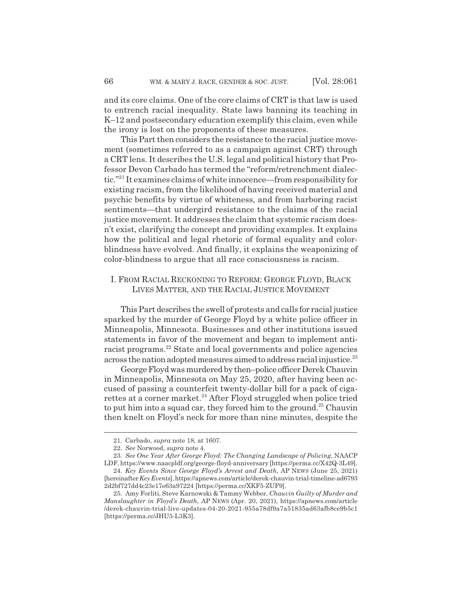and its core claims. One of the core claims of CRT is that law is used to entrench racial inequality. State laws banning its teaching in K–12 and postsecondary education exemplify this claim, even while the irony is lost on the proponents of these measures.

This Part then considers the resistance to the racial justice movement (sometimes referred to as a campaign against CRT) through a CRT lens. It describes the U.S. legal and political history that Professor Devon Carbado has termed the "reform/retrenchment dialectic."21 It examines claims of white innocence—from responsibility for existing racism, from the likelihood of having received material and psychic benefits by virtue of whiteness, and from harboring racist sentiments—that undergird resistance to the claims of the racial justice movement. It addresses the claim that systemic racism doesn't exist, clarifying the concept and providing examples. It explains how the political and legal rhetoric of formal equality and colorblindness have evolved. And finally, it explains the weaponizing of color-blindness to argue that all race consciousness is racism.

# I. FROM RACIAL RECKONING TO REFORM: GEORGE FLOYD, BLACK LIVES MATTER, AND THE RACIAL JUSTICE MOVEMENT

This Part describes the swell of protests and calls for racial justice sparked by the murder of George Floyd by a white police officer in Minneapolis, Minnesota. Businesses and other institutions issued statements in favor of the movement and began to implement antiracist programs.<sup>22</sup> State and local governments and police agencies across the nation adopted measures aimed to address racial injustice.<sup>23</sup>

George Floyd was murdered by then–police officer Derek Chauvin in Minneapolis, Minnesota on May 25, 2020, after having been accused of passing a counterfeit twenty-dollar bill for a pack of cigarettes at a corner market.<sup>24</sup> After Floyd struggled when police tried to put him into a squad car, they forced him to the ground.<sup>25</sup> Chauvin then knelt on Floyd's neck for more than nine minutes, despite the

<sup>21.</sup> Carbado, *supra* note 18, at 1607.

<sup>22.</sup> *See* Norwood, *supra* note 4.

<sup>23.</sup> *See One Year After George Floyd: The Changing Landscape of Policing*, NAACP

LDF, https://www.naacpldf.org/george-floyd-anniversary [https://perma.cc/X42Q-3L49]. 24. *Key Events Since George Floyd's Arrest and Death*, AP NEWS (June 25, 2021) [hereinafter *Key Events*], https://apnews.com/article/derek-chauvin-trial-timeline-ad6793 2d2bf727dd4c23e17e63a97224 [https://perma.cc/XKF5-ZUF9].

<sup>25.</sup> Amy Forliti, Steve Karnowski & Tammy Webber, *Chauvin Guilty of Murder and Manslaughter in Floyd's Death*, AP NEWS (Apr. 20, 2021), https://apnews.com/article /derek-chauvin-trial-live-updates-04-20-2021-955a78df9a7a51835ad63afb8ce9b5c1 [https://perma.cc/JHU5-L3K3].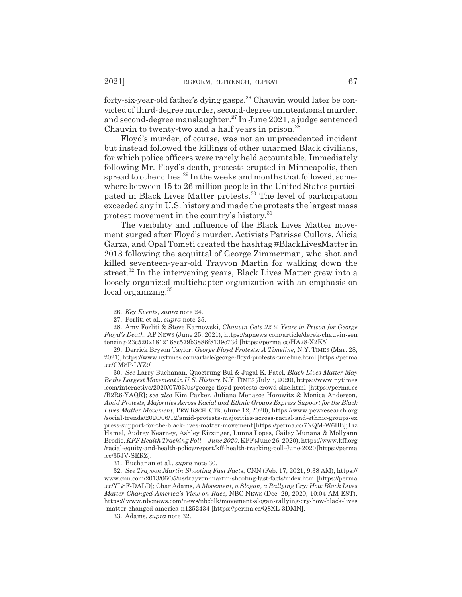forty-six-year-old father's dying gasps.26 Chauvin would later be convicted of third-degree murder, second-degree unintentional murder, and second-degree manslaughter.27 In June 2021, a judge sentenced Chauvin to twenty-two and a half years in prison.<sup>28</sup>

Floyd's murder, of course, was not an unprecedented incident but instead followed the killings of other unarmed Black civilians, for which police officers were rarely held accountable. Immediately following Mr. Floyd's death, protests erupted in Minneapolis, then spread to other cities.<sup>29</sup> In the weeks and months that followed, somewhere between 15 to 26 million people in the United States participated in Black Lives Matter protests.<sup>30</sup> The level of participation exceeded any in U.S. history and made the protests the largest mass protest movement in the country's history.<sup>31</sup>

The visibility and influence of the Black Lives Matter movement surged after Floyd's murder. Activists Patrisse Cullors, Alicia Garza, and Opal Tometi created the hashtag #BlackLivesMatter in 2013 following the acquittal of George Zimmerman, who shot and killed seventeen-year-old Trayvon Martin for walking down the street.<sup>32</sup> In the intervening years, Black Lives Matter grew into a loosely organized multichapter organization with an emphasis on local organizing.<sup>33</sup>

<sup>26.</sup> *Key Events*, *supra* note 24.

<sup>27.</sup> Forliti et al., *supra* note 25.

<sup>28.</sup> Amy Forliti & Steve Karnowski, *Chauvin Gets 22 ½ Years in Prison for George Floyd's Death*, AP NEWS (June 25, 2021), https://apnews.com/article/derek-chauvin-sen tencing-23c52021812168c579b3886f8139c73d [https://perma.cc/HA28-X2K5].

<sup>29.</sup> Derrick Bryson Taylor, *George Floyd Protests: A Timeline*, N.Y. TIMES (Mar. 28, 2021), https://www.nytimes.com/article/george-floyd-protests-timeline.html [https://perma .cc/CM8P-LYZ9].

<sup>30.</sup> *See* Larry Buchanan, Quoctrung Bui & Jugal K. Patel, *Black Lives Matter May Be the Largest Movement in U.S. History*,N.Y.TIMES(July 3, 2020), https://www.nytimes .com/interactive/2020/07/03/us/george-floyd-protests-crowd-size.html [https://perma.cc /B2R6-YAQR]; *see also* Kim Parker, Juliana Menasce Horowitz & Monica Anderson, *Amid Protests, Majorities Across Racial and Ethnic Groups Express Support for the Black Lives Matter Movement*, PEW RSCH. CTR. (June 12, 2020), https://www.pewresearch.org /social-trends/2020/06/12/amid-protests-majorities-across-racial-and-ethnic-groups-ex press-support-for-the-black-lives-matter-movement [https://perma.cc/7NQM-W6BB]; Liz Hamel, Audrey Kearney, Ashley Kirzinger, Lunna Lopes, Cailey Muñana & Mollyann Brodie, *KFF Health Tracking Poll—June 2020*, KFF(June 26, 2020), https://www.kff.org /racial-equity-and-health-policy/report/kff-health-tracking-poll-June-2020 [https://perma .cc/35JV-SERZ].

<sup>31.</sup> Buchanan et al., *supra* note 30.

<sup>32.</sup> *See Trayvon Martin Shooting Fast Facts*, CNN (Feb. 17, 2021, 9:38 AM), https:// www.cnn.com/2013/06/05/us/trayvon-martin-shooting-fast-facts/index.html [https://perma .cc/YL8F-DALD]; Char Adams, *A Movement, a Slogan, a Rallying Cry: How Black Lives Matter Changed America's View on Race*, NBC NEWS (Dec. 29, 2020, 10:04 AM EST), https:// www.nbcnews.com/news/nbcblk/movement-slogan-rallying-cry-how-black-lives -matter-changed-america-n1252434 [https://perma.cc/Q8XL-3DMN].

<sup>33.</sup> Adams, *supra* note 32.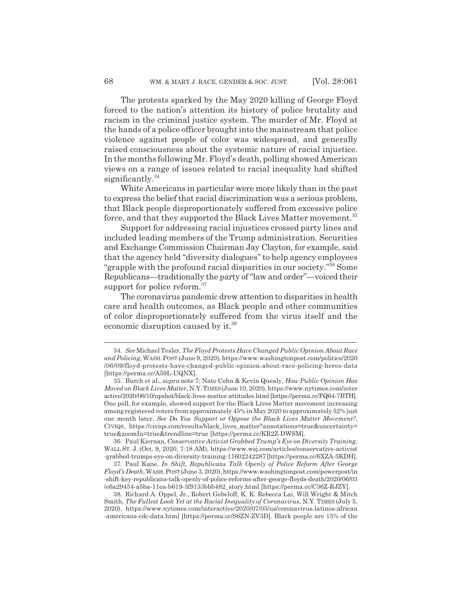The protests sparked by the May 2020 killing of George Floyd forced to the nation's attention its history of police brutality and racism in the criminal justice system. The murder of Mr. Floyd at the hands of a police officer brought into the mainstream that police violence against people of color was widespread, and generally raised consciousness about the systemic nature of racial injustice. In the months following Mr. Floyd's death, polling showed American views on a range of issues related to racial inequality had shifted significantly.<sup>34</sup>

White Americans in particular were more likely than in the past to express the belief that racial discrimination was a serious problem, that Black people disproportionately suffered from excessive police force, and that they supported the Black Lives Matter movement.<sup>35</sup>

Support for addressing racial injustices crossed party lines and included leading members of the Trump administration. Securities and Exchange Commission Chairman Jay Clayton, for example, said that the agency held "diversity dialogues" to help agency employees "grapple with the profound racial disparities in our society."36 Some Republicans—traditionally the party of "law and order"—voiced their support for police reform.<sup>37</sup>

The coronavirus pandemic drew attention to disparities in health care and health outcomes, as Black people and other communities of color disproportionately suffered from the virus itself and the economic disruption caused by it.<sup>38</sup>

36. Paul Kiernan, *Conservative Activist Grabbed Trump's Eye on Diversity Training*, WALL ST. J. (Oct. 9, 2020, 7:18 AM), https://www.wsj.com/articles/conservative-activist -grabbed-trumps-eye-on-diversity-training-11602242287 [https://perma.cc/6XZA-5KDH].

37. Paul Kane, *In Shift, Republicans Talk Openly of Police Reform After George Floyd's Death*, WASH.POST (June 3, 2020), https://www.washingtonpost.com/powerpost/in -shift-key-republicans-talk-openly-of-police-reforms-after-george-floyds-death/2020/06/03 /e6a29454-a5ba-11ea-b619-3f9133bbb482\_story.html [https://perma.cc/C36Z-RJZY].

38. Richard A. Oppel, Jr., Robert Gebeloff, K. K. Rebecca Lai, Will Wright & Mitch Smith, *The Fullest Look Yet at the Racial Inequality of Coronavirus*, N.Y.TIMES (July 5, 2020), https://www.nytimes.com/interactive/2020/07/05/us/coronavirus-latinos-african -americans-cdc-data.html [https://perma.cc/S6ZN-ZV3D]. Black people are 15% of the

<sup>34.</sup> *See* Michael Tesler, *The Floyd Protests Have Changed Public Opinion About Race and Policing*, WASH.POST (June 9, 2020), https://www.washingtonpost.com/politics/2020 /06/09/floyd-protests-have-changed-public-opinion-about-race-policing-heres-data [https://perma.cc/A59L-UQNX].

<sup>35.</sup> Burch et al., *supra* note 7; Nate Cohn & Kevin Quealy, *How Public Opinion Has Moved on Black Lives Matter*, N.Y.TIMES(June 10, 2020), https://www.nytimes.com/inter active/2020/06/10/upshot/black-lives-matter-attitudes.html [https://perma.cc/FQ64-7BTH]. One poll, for example, showed support for the Black Lives Matter movement increasing among registered voters from approximately 45% in May 2020 to approximately 52% just one month later. *See Do You Support or Oppose the Black Lives Matter Movement?*, CIVIQS, https://civiqs.com/results/black\_lives\_matter?annotations=true&uncertainty= true&zoomIn=true&trendline=true [https://perma.cc/KR2Z-DWSM].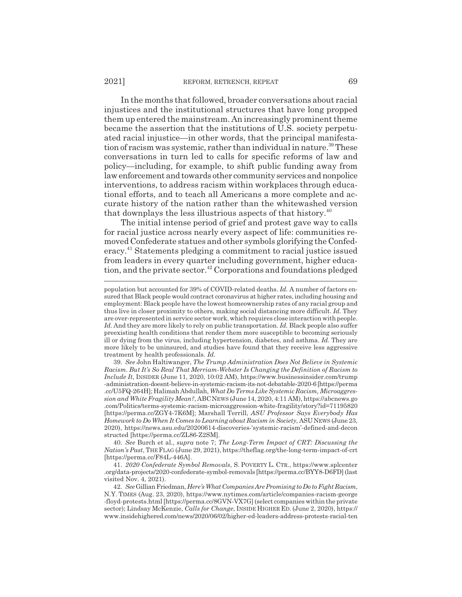In the months that followed, broader conversations about racial injustices and the institutional structures that have long propped them up entered the mainstream. An increasingly prominent theme became the assertion that the institutions of U.S. society perpetuated racial injustice—in other words, that the principal manifestation of racism was systemic, rather than individual in nature.<sup>39</sup> These conversations in turn led to calls for specific reforms of law and policy—including, for example, to shift public funding away from law enforcement and towards other community services and nonpolice interventions, to address racism within workplaces through educational efforts, and to teach all Americans a more complete and accurate history of the nation rather than the whitewashed version that downplays the less illustrious aspects of that history. $40$ 

The initial intense period of grief and protest gave way to calls for racial justice across nearly every aspect of life: communities removed Confederate statues and other symbols glorifying the Confederacy.41 Statements pledging a commitment to racial justice issued from leaders in every quarter including government, higher education, and the private sector.42 Corporations and foundations pledged

39. *See* John Haltiwanger, *The Trump Administration Does Not Believe in Systemic Racism. But It's So Real That Merriam-Webster Is Changing the Definition of Racism to Include It*, INSIDER (June 11, 2020, 10:02 AM), https://www.businessinsider.com/trump -administration-doesnt-believe-in-systemic-racism-its-not-debatable-2020-6 [https://perma .cc/U5FQ-264H]; Halimah Abdullah, *What Do Terms Like Systemic Racism, Microaggression and White Fragility Mean?*, ABCNEWS (June 14, 2020, 4:11 AM), https://abcnews.go .com/Politics/terms-systemic-racism-microaggression-white-fragility/story?id=71195820 [https://perma.cc/ZGY4-7K6M]; Marshall Terrill, *ASU Professor Says Everybody Has Homework to Do When It Comes to Learning about Racism in Society*, ASUNEWS (June 23, 2020), https://news.asu.edu/20200614-discoveries-'systemic-racism'-defined-and-decon structed [https://perma.cc/ZL86-Z2SM].

40. *See* Burch et al., *supra* note 7; *The Long-Term Impact of CRT: Discussing the Nation's Past*, THE FLAG (June 29, 2021), https://theflag.org/the-long-term-impact-of-crt [https://perma.cc/F84L-446A].

41. *2020 Confederate Symbol Removals*, S. POVERTY L. CTR., https://www.splcenter .org/data-projects/2020-confederate-symbol-removals [https://perma.cc/BYY8-D6FD] (last visited Nov. 4, 2021).

42. *See* Gillian Friedman, *Here's What Companies Are Promising to Do to Fight Racism*, N.Y. TIMES (Aug. 23, 2020), https://www.nytimes.com/article/companies-racism-george -floyd-protests.html [https://perma.cc/8GVN-VX7G] (select companies within the private sector); Lindsay McKenzie, *Calls for Change*, INSIDE HIGHER ED. (June 2, 2020), https:// www.insidehighered.com/news/2020/06/02/higher-ed-leaders-address-protests-racial-ten

population but accounted for 39% of COVID-related deaths. *Id.* A number of factors ensured that Black people would contract coronavirus at higher rates, including housing and employment: Black people have the lowest homeownership rates of any racial group and thus live in closer proximity to others, making social distancing more difficult. *Id.* They are over-represented in service sector work, which requires close interaction with people. *Id.* And they are more likely to rely on public transportation. *Id.* Black people also suffer preexisting health conditions that render them more susceptible to becoming seriously ill or dying from the virus, including hypertension, diabetes, and asthma. *Id.* They are more likely to be uninsured, and studies have found that they receive less aggressive treatment by health professionals. *Id.*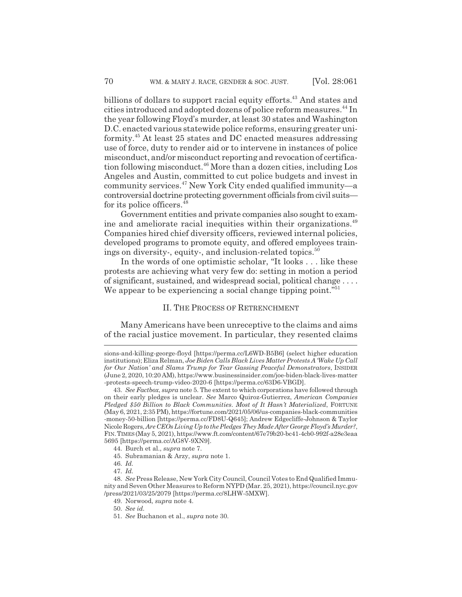billions of dollars to support racial equity efforts.<sup>43</sup> And states and cities introduced and adopted dozens of police reform measures.<sup>44</sup> In the year following Floyd's murder, at least 30 states and Washington D.C. enacted various statewide police reforms, ensuring greater uniformity.45 At least 25 states and DC enacted measures addressing use of force, duty to render aid or to intervene in instances of police misconduct, and/or misconduct reporting and revocation of certification following misconduct.<sup>46</sup> More than a dozen cities, including Los Angeles and Austin, committed to cut police budgets and invest in community services.47 New York City ended qualified immunity—a controversial doctrine protecting government officials from civil suits for its police officers.48

Government entities and private companies also sought to examine and ameliorate racial inequities within their organizations.<sup>49</sup> Companies hired chief diversity officers, reviewed internal policies, developed programs to promote equity, and offered employees trainings on diversity-, equity-, and inclusion-related topics. $50$ 

In the words of one optimistic scholar, "It looks . . . like these protests are achieving what very few do: setting in motion a period of significant, sustained, and widespread social, political change . . . . We appear to be experiencing a social change tipping point."<sup>51</sup>

#### II. THE PROCESS OF RETRENCHMENT

Many Americans have been unreceptive to the claims and aims of the racial justice movement. In particular, they resented claims

sions-and-killing-george-floyd [https://perma.cc/L6WD-B5B6] (select higher education institutions); Eliza Relman, *Joe Biden Calls Black Lives Matter Protests A 'Wake Up Call for Our Nation' and Slams Trump for Tear Gassing Peaceful Demonstrators*, INSIDER (June 2, 2020, 10:20 AM), https://www.businessinsider.com/joe-biden-black-lives-matter -protests-speech-trump-video-2020-6 [https://perma.cc/63D6-VBGD].

<sup>43.</sup> *See Factbox*, *supra* note 5. The extent to which corporations have followed through on their early pledges is unclear. *See* Marco Quiroz-Gutierrez, *American Companies Pledged \$50 Billion to Black Communities. Most of It Hasn't Materialized*, FORTUNE (May 6, 2021, 2:35 PM), https://fortune.com/2021/05/06/us-companies-black-communities -money-50-billion [https://perma.cc/FD8U-Q645]; Andrew Edgecliffe-Johnson & Taylor Nicole Rogers, *Are CEOs Living Up to the Pledges They Made After George Floyd's Murder?*, FIN.TIMES(May 5, 2021), https://www.ft.com/content/67e79b20-bc41-4cb0-992f-a28e3eaa 5695 [https://perma.cc/AG8V-9XN9].

<sup>44.</sup> Burch et al., *supra* note 7.

<sup>45.</sup> Subramanian & Arzy, *supra* note 1.

<sup>46.</sup> *Id.*

<sup>47.</sup> *Id.*

<sup>48.</sup> *See* Press Release, New York City Council, Council Votes to End Qualified Immunity and Seven Other Measures to Reform NYPD (Mar. 25, 2021), https://council.nyc.gov /press/2021/03/25/2079 [https://perma.cc/8LHW-5MXW].

<sup>49.</sup> Norwood, *supra* note 4.

<sup>50.</sup> *See id.*

<sup>51.</sup> *See* Buchanon et al., *supra* note 30.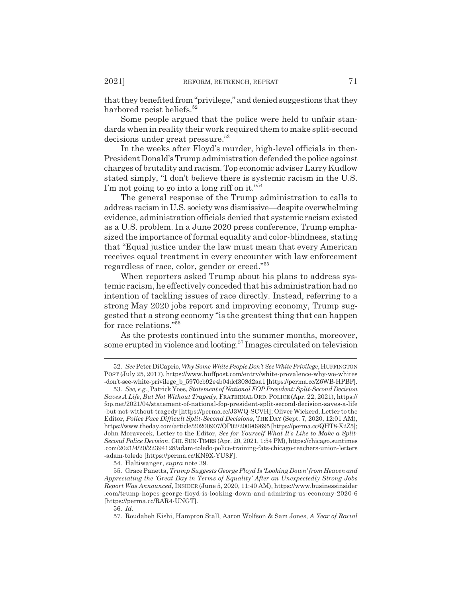that they benefited from "privilege," and denied suggestions that they harbored racist beliefs.<sup>52</sup>

Some people argued that the police were held to unfair standards when in reality their work required them to make split-second decisions under great pressure.<sup>53</sup>

In the weeks after Floyd's murder, high-level officials in then-President Donald's Trump administration defended the police against charges of brutality and racism. Top economic adviser Larry Kudlow stated simply, "I don't believe there is systemic racism in the U.S. I'm not going to go into a long riff on it."<sup>54</sup>

The general response of the Trump administration to calls to address racism in U.S. society was dismissive—despite overwhelming evidence, administration officials denied that systemic racism existed as a U.S. problem. In a June 2020 press conference, Trump emphasized the importance of formal equality and color-blindness, stating that "Equal justice under the law must mean that every American receives equal treatment in every encounter with law enforcement regardless of race, color, gender or creed."55

When reporters asked Trump about his plans to address systemic racism, he effectively conceded that his administration had no intention of tackling issues of race directly. Instead, referring to a strong May 2020 jobs report and improving economy, Trump suggested that a strong economy "is the greatest thing that can happen for race relations."56

As the protests continued into the summer months, moreover, some erupted in violence and looting.57 Images circulated on television

54. Haltiwanger, *supra* note 39.

<sup>52.</sup> *See* Peter DiCaprio, *Why Some White People Don't See White Privilege*, HUFFINGTON POST (July 25, 2017), https://www.huffpost.com/entry/white-prevalence-why-we-whites -don't-see-white-privilege\_b\_5970cb92e4b04dcf308d2aa1 [https://perma.cc/Z6WB-HPBF].

<sup>53.</sup> *See, e.g.*, Patrick Yoes, *Statement of National FOP President: Split-Second Decision Saves A Life, But Not Without Tragedy*, FRATERNALORD. POLICE (Apr. 22, 2021), https:// fop.net/2021/04/statement-of-national-fop-president-split-second-decision-saves-a-life -but-not-without-tragedy [https://perma.cc/J3WQ-SCVH]; Oliver Wickerd, Letter to the Editor, *Police Face Difficult Split-Second Decisions*, THE DAY (Sept. 7, 2020, 12:01 AM), https://www.theday.com/article/20200907/OP02/200909695 [https://perma.cc/QHT8-X2Z5]; John Moravecek, Letter to the Editor, *See for Yourself What It's Like to Make a Split-Second Police Decision*, CHI. SUN-TIMES (Apr. 20, 2021, 1:54 PM), https://chicago.suntimes .com/2021/4/20/22394128/adam-toledo-police-training-fats-chicago-teachers-union-letters -adam-toledo [https://perma.cc/KN9X-YU8F].

<sup>55.</sup> Grace Panetta, *Trump Suggests George Floyd Is 'Looking Down' from Heaven and Appreciating the 'Great Day in Terms of Equality' After an Unexpectedly Strong Jobs Report Was Announced*, INSIDER (June 5, 2020, 11:40 AM), https://www.businessinsider .com/trump-hopes-george-floyd-is-looking-down-and-admiring-us-economy-2020-6 [https://perma.cc/RAR4-UNGT].

<sup>56.</sup> *Id.*

<sup>57.</sup> Roudabeh Kishi, Hampton Stall, Aaron Wolfson & Sam Jones, *A Year of Racial*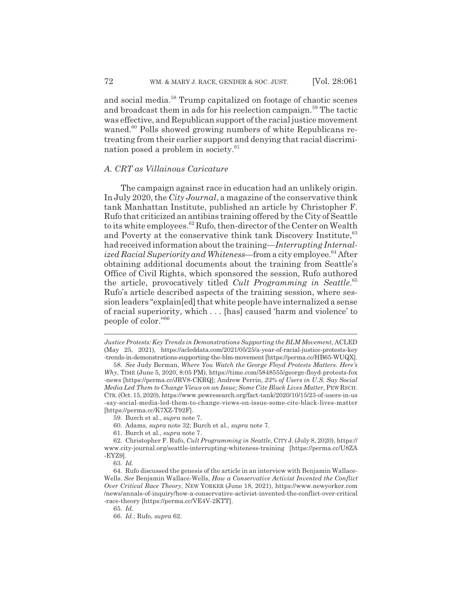and social media.<sup>58</sup> Trump capitalized on footage of chaotic scenes and broadcast them in ads for his reelection campaign.<sup>59</sup> The tactic was effective, and Republican support of the racial justice movement waned.<sup>60</sup> Polls showed growing numbers of white Republicans retreating from their earlier support and denying that racial discrimination posed a problem in society.<sup>61</sup>

# *A. CRT as Villainous Caricature*

The campaign against race in education had an unlikely origin. In July 2020, the *City Journal*, a magazine of the conservative think tank Manhattan Institute, published an article by Christopher F. Rufo that criticized an antibias training offered by the City of Seattle to its white employees.<sup>62</sup> Rufo, then-director of the Center on Wealth and Poverty at the conservative think tank Discovery Institute,<sup>63</sup> had received information about the training—*Interrupting Internalized Racial Superiority and Whiteness*—from a city employee.<sup>64</sup> After obtaining additional documents about the training from Seattle's Office of Civil Rights, which sponsored the session, Rufo authored the article, provocatively titled *Cult Programming in Seattle*. 65 Rufo's article described aspects of the training session, where session leaders "explain[ed] that white people have internalized a sense of racial superiority, which . . . [has] caused 'harm and violence' to people of color."66

*Justice Protests: Key Trends in Demonstrations Supporting the BLM Movement*, ACLED (May 25, 2021), https://acleddata.com/2021/05/25/a-year-of-racial-justice-protests-key -trends-in-demonstrations-supporting-the-blm-movement [https://perma.cc/HB65-WUQX].

<sup>58.</sup> *See* Judy Berman, *Where You Watch the George Floyd Protests Matters. Here's Why*, TIME (June 5, 2020, 8:05 PM), https://time.com/5848555/george-floyd-protests-fox -news [https://perma.cc/JRV8-CKRQ]; Andrew Perrin, *23% of Users in U.S. Say Social Media Led Them to Change Views on an Issue; Some Cite Black Lives Matter*, PEW RSCH. CTR. (Oct. 15, 2020), https://www.pewresearch.org/fact-tank/2020/10/15/23-of-users-in-us -say-social-media-led-them-to-change-views-on-issue-some-cite-black-lives-matter [https://perma.cc/K7XZ-T92F].

<sup>59.</sup> Burch et al., *supra* note 7.

<sup>60.</sup> Adams, *supra* note 32; Burch et al., *supra* note 7.

<sup>61.</sup> Burch et al., *supra* note 7.

<sup>62.</sup> Christopher F. Rufo, *Cult Programming in Seattle*, CITY J. (July 8, 2020), https:// www.city-journal.org/seattle-interrupting-whiteness-training [https://perma.cc/U8ZA -EYZ9].

<sup>63.</sup> *Id.*

<sup>64.</sup> Rufo discussed the genesis of the article in an interview with Benjamin Wallace-Wells. *See* Benjamin Wallace-Wells, *How a Conservative Activist Invented the Conflict Over Critical Race Theory*, NEW YORKER (June 18, 2021), https://www.newyorker.com /news/annals-of-inquiry/how-a-conservative-activist-invented-the-conflict-over-critical -race-theory [https://perma.cc/VE4V-2KTT].

<sup>65.</sup> *Id.*

<sup>66.</sup> *Id.*; Rufo, *supra* 62.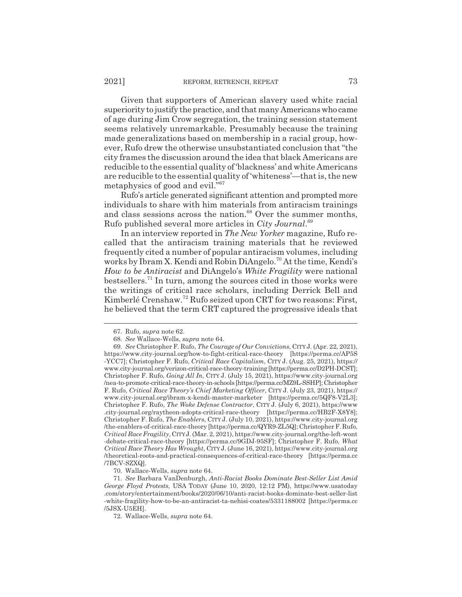Given that supporters of American slavery used white racial superiority to justify the practice, and that many Americans who came of age during Jim Crow segregation, the training session statement seems relatively unremarkable. Presumably because the training made generalizations based on membership in a racial group, however, Rufo drew the otherwise unsubstantiated conclusion that "the city frames the discussion around the idea that black Americans are reducible to the essential quality of 'blackness' and white Americans are reducible to the essential quality of 'whiteness'—that is, the new metaphysics of good and evil."<sup>67</sup>

Rufo's article generated significant attention and prompted more individuals to share with him materials from antiracism trainings and class sessions across the nation.<sup>68</sup> Over the summer months, Rufo published several more articles in *City Journal*. 69

In an interview reported in *The New Yorker* magazine, Rufo recalled that the antiracism training materials that he reviewed frequently cited a number of popular antiracism volumes, including works by Ibram X. Kendi and Robin DiAngelo.<sup>70</sup> At the time, Kendi's *How to be Antiracist* and DiAngelo's *White Fragility* were national bestsellers.<sup>71</sup> In turn, among the sources cited in those works were the writings of critical race scholars, including Derrick Bell and Kimberlé Crenshaw.72 Rufo seized upon CRT for two reasons: First, he believed that the term CRT captured the progressive ideals that

70. Wallace-Wells, *supra* note 64.

72. Wallace-Wells, *supra* note 64.

<sup>67.</sup> Rufo, *supra* note 62.

<sup>68.</sup> *See* Wallace-Wells, *supra* note 64.

<sup>69.</sup> *See* Christopher F. Rufo, *The Courage of Our Convictions*, CITY J. (Apr. 22, 2021), https://www.city-journal.org/how-to-fight-critical-race-theory [https://perma.cc/AP5S -YCC7]; Christopher F. Rufo, *Critical Race Capitalism*, CITY J. (Aug. 25, 2021), https:// www.city-journal.org/verizon-critical-race-theory-training [https://perma.cc/D2PH-DCST]; Christopher F. Rufo, *Going All In*, CITY J. (July 15, 2021), https://www.city-journal.org /nea-to-promote-critical-race-theory-in-schools [https://perma.cc/MZ9L-SSHP]; Christopher F. Rufo, *Critical Race Theory's Chief Marketing Officer*, CITY J. (July 23, 2021), https:// www.city-journal.org/ibram-x-kendi-master-marketer [https://perma.cc/5QF8-V2L3]; Christopher F. Rufo, *The Woke Defense Contractor*, CITY J. (July 6, 2021), https://www .city-journal.org/raytheon-adopts-critical-race-theory [https://perma.cc/HB2F-X8Y8]; Christopher F. Rufo, *The Enablers*, CITY J. (July 10, 2021), https://www.city-journal.org /the-enablers-of-critical-race-theory [https://perma.cc/QYR9-ZL5Q]; Christopher F. Rufo, *Critical Race Fragility*, CITYJ. (Mar. 2, 2021), https://www.city-journal.org/the-left-wont -debate-critical-race-theory [https://perma.cc/9GDJ-95SF]; Christopher F. Rufo, *What Critical Race Theory Has Wrought*, CITY J. (June 16, 2021), https://www.city-journal.org /theoretical-roots-and-practical-consequences-of-critical-race-theory [https://perma.cc /7BCV-SZXQ].

<sup>71.</sup> *See* Barbara VanDenburgh, *Anti-Racist Books Dominate Best-Seller List Amid George Floyd Protests*, USA TODAY (June 10, 2020, 12:12 PM), https://www.usatoday .com/story/entertainment/books/2020/06/10/anti-racist-books-dominate-best-seller-list -white-fragility-how-to-be-an-antiracist-ta-nehisi-coates/5331188002 [https://perma.cc /5JSX-U5EH].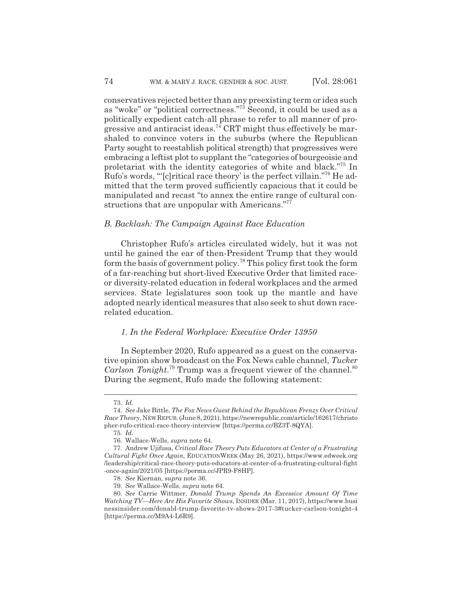conservatives rejected better than any preexisting term or idea such as "woke" or "political correctness."73 Second, it could be used as a politically expedient catch-all phrase to refer to all manner of progressive and antiracist ideas.<sup>74</sup> CRT might thus effectively be marshaled to convince voters in the suburbs (where the Republican Party sought to reestablish political strength) that progressives were embracing a leftist plot to supplant the "categories of bourgeoisie and proletariat with the identity categories of white and black."75 In Rufo's words, "'[c]ritical race theory' is the perfect villain."76 He admitted that the term proved sufficiently capacious that it could be manipulated and recast "to annex the entire range of cultural constructions that are unpopular with Americans."<sup>77</sup>

### *B. Backlash: The Campaign Against Race Education*

Christopher Rufo's articles circulated widely, but it was not until he gained the ear of then-President Trump that they would form the basis of government policy.78 This policy first took the form of a far-reaching but short-lived Executive Order that limited raceor diversity-related education in federal workplaces and the armed services. State legislatures soon took up the mantle and have adopted nearly identical measures that also seek to shut down racerelated education.

#### *1. In the Federal Workplace: Executive Order 13950*

In September 2020, Rufo appeared as a guest on the conservative opinion show broadcast on the Fox News cable channel, *Tucker* Carlson Tonight.<sup>79</sup> Trump was a frequent viewer of the channel.<sup>80</sup> During the segment, Rufo made the following statement:

<sup>73.</sup> *Id.*

<sup>74.</sup> *See* Jake Bittle, *The Fox News Guest Behind the Republican Frenzy Over Critical Race Theory*, NEWREPUB.(June 8, 2021), https://newrepublic.com/article/162617/christo pher-rufo-critical-race-theory-interview [https://perma.cc/BZ3T-8QYA].

<sup>75.</sup> *Id.*

<sup>76.</sup> Wallace-Wells, *supra* note 64.

<sup>77.</sup> Andrew Ujifusa, *Critical Race Theory Puts Educators at Center of a Frustrating Cultural Fight Once Again*, EDUCATIONWEEK (May 26, 2021), https://www.edweek.org /leadership/critical-race-theory-puts-educators-at-center-of-a-frustrating-cultural-fight -once-again/2021/05 [https://perma.cc/JPR9-F8HP].

<sup>78.</sup> *See* Kiernan, *supra* note 36.

<sup>79.</sup> *See* Wallace-Wells, *supra* note 64.

<sup>80.</sup> *See* Carrie Wittmer, *Donald Trump Spends An Excessive Amount Of Time Watching TV—Here Are His Favorite Shows*, INSIDER (Mar. 11, 2017), https://www.busi nessinsider.com/donald-trump-favorite-tv-shows-2017-3#tucker-carlson-tonight-4 [https://perma.cc/M9A4-L6R9].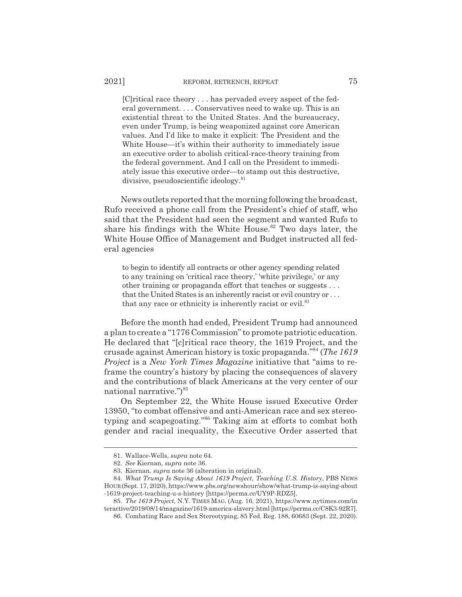[C]ritical race theory . . . has pervaded every aspect of the federal government. . . . Conservatives need to wake up. This is an existential threat to the United States. And the bureaucracy, even under Trump, is being weaponized against core American values. And I'd like to make it explicit: The President and the White House—it's within their authority to immediately issue an executive order to abolish critical-race-theory training from the federal government. And I call on the President to immediately issue this executive order—to stamp out this destructive, divisive, pseudoscientific ideology.<sup>81</sup>

News outlets reported that the morning following the broadcast, Rufo received a phone call from the President's chief of staff, who said that the President had seen the segment and wanted Rufo to share his findings with the White House.<sup>82</sup> Two days later, the White House Office of Management and Budget instructed all federal agencies

to begin to identify all contracts or other agency spending related to any training on 'critical race theory,' 'white privilege,' or any other training or propaganda effort that teaches or suggests . . . that the United States is an inherently racist or evil country or . . . that any race or ethnicity is inherently racist or evil.<sup>83</sup>

Before the month had ended, President Trump had announced a plan to create a "1776 Commission" to promote patriotic education. He declared that "[c]ritical race theory, the 1619 Project, and the crusade against American history is toxic propaganda."84 (*The 1619 Project* is a *New York Times Magazine* initiative that "aims to reframe the country's history by placing the consequences of slavery and the contributions of black Americans at the very center of our national narrative.")<sup>85</sup>

On September 22, the White House issued Executive Order 13950, "to combat offensive and anti-American race and sex stereotyping and scapegoating."86 Taking aim at efforts to combat both gender and racial inequality, the Executive Order asserted that

<sup>81.</sup> Wallace-Wells, *supra* note 64.

<sup>82.</sup> *See* Kiernan, *supra* note 36.

<sup>83.</sup> Kiernan, *supra* note 36 (alteration in original).

<sup>84.</sup> *What Trump Is Saying About 1619 Project, Teaching U.S. History*, PBS NEWS HOUR(Sept. 17, 2020), https://www.pbs.org/newshour/show/what-trump-is-saying-about -1619-project-teaching-u-s-history [https://perma.cc/UY9P-RDZ5].

<sup>85.</sup> *The 1619 Project*, N.Y. TIMES MAG. (Aug. 16, 2021), https://www.nytimes.com/in teractive/2019/08/14/magazine/1619-america-slavery.html [https://perma.cc/C8K3-92R7].

<sup>86.</sup> Combating Race and Sex Stereotyping, 85 Fed. Reg. 188, 60683 (Sept. 22, 2020).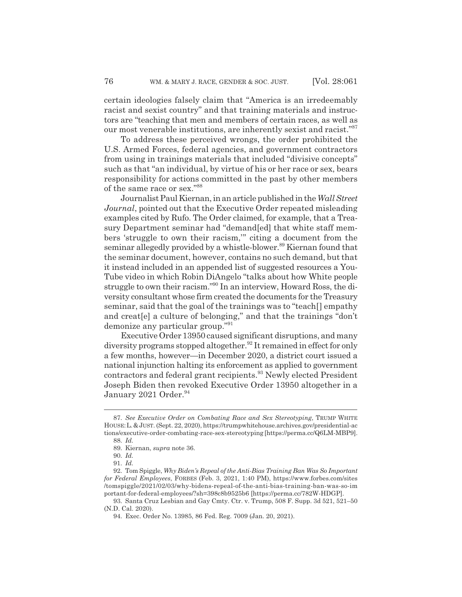certain ideologies falsely claim that "America is an irredeemably racist and sexist country" and that training materials and instructors are "teaching that men and members of certain races, as well as our most venerable institutions, are inherently sexist and racist."<sup>87</sup>

To address these perceived wrongs, the order prohibited the U.S. Armed Forces, federal agencies, and government contractors from using in trainings materials that included "divisive concepts" such as that "an individual, by virtue of his or her race or sex, bears responsibility for actions committed in the past by other members of the same race or sex."88

Journalist Paul Kiernan, in an article published in the *Wall Street Journal*, pointed out that the Executive Order repeated misleading examples cited by Rufo. The Order claimed, for example, that a Treasury Department seminar had "demand[ed] that white staff members 'struggle to own their racism,'" citing a document from the seminar allegedly provided by a whistle-blower.<sup>89</sup> Kiernan found that the seminar document, however, contains no such demand, but that it instead included in an appended list of suggested resources a You-Tube video in which Robin DiAngelo "talks about how White people struggle to own their racism."90 In an interview, Howard Ross, the diversity consultant whose firm created the documents for the Treasury seminar, said that the goal of the trainings was to "teach[] empathy and creat[e] a culture of belonging," and that the trainings "don't demonize any particular group."91

Executive Order 13950 caused significant disruptions, and many diversity programs stopped altogether.<sup>92</sup> It remained in effect for only a few months, however—in December 2020, a district court issued a national injunction halting its enforcement as applied to government contractors and federal grant recipients.<sup>93</sup> Newly elected President Joseph Biden then revoked Executive Order 13950 altogether in a January 2021 Order.<sup>94</sup>

<sup>87.</sup> *See Executive Order on Combating Race and Sex Stereotyping*, TRUMP WHITE HOUSE:L.&JUST. (Sept. 22, 2020), https://trumpwhitehouse.archives.gov/presidential-ac tions/executive-order-combating-race-sex-stereotyping [https://perma.cc/Q6LM-MBP9]. 88. *Id.*

<sup>89.</sup> Kiernan, *supra* note 36.

<sup>90.</sup> *Id.*

<sup>91.</sup> *Id.*

<sup>92.</sup> Tom Spiggle, *Why Biden's Repeal of the Anti-Bias Training Ban Was So Important for Federal Employees*, FORBES (Feb. 3, 2021, 1:40 PM), https://www.forbes.com/sites /tomspiggle/2021/02/03/why-bidens-repeal-of-the-anti-bias-training-ban-was-so-im portant-for-federal-employees/?sh=398c8b9525b6 [https://perma.cc/782W-HDGP].

<sup>93.</sup> Santa Cruz Lesbian and Gay Cmty. Ctr. v. Trump, 508 F. Supp. 3d 521, 521–50 (N.D. Cal. 2020).

<sup>94.</sup> Exec. Order No. 13985, 86 Fed. Reg. 7009 (Jan. 20, 2021).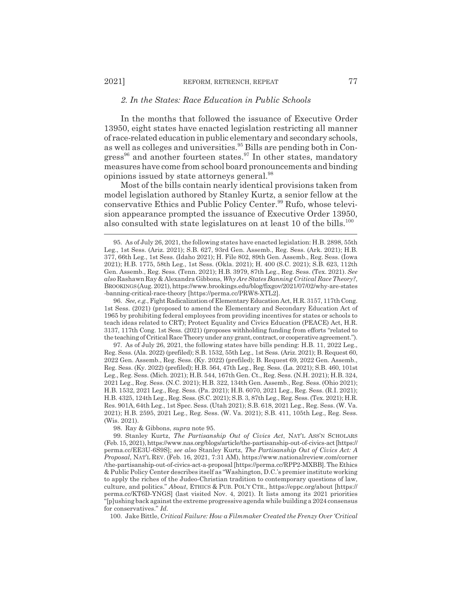#### *2. In the States: Race Education in Public Schools*

In the months that followed the issuance of Executive Order 13950, eight states have enacted legislation restricting all manner of race-related education in public elementary and secondary schools, as well as colleges and universities.<sup>95</sup> Bills are pending both in Congress<sup>96</sup> and another fourteen states.<sup>97</sup> In other states, mandatory measures have come from school board pronouncements and binding opinions issued by state attorneys general.<sup>98</sup>

Most of the bills contain nearly identical provisions taken from model legislation authored by Stanley Kurtz, a senior fellow at the conservative Ethics and Public Policy Center.<sup>99</sup> Rufo, whose television appearance prompted the issuance of Executive Order 13950, also consulted with state legislatures on at least 10 of the bills.<sup>100</sup>

96. *See, e.g.*, Fight Radicalization of Elementary Education Act, H.R. 3157, 117th Cong. 1st Sess. (2021) (proposed to amend the Elementary and Secondary Education Act of 1965 by prohibiting federal employees from providing incentives for states or schools to teach ideas related to CRT); Protect Equality and Civics Education (PEACE) Act, H.R. 3137, 117th Cong. 1st Sess. (2021) (proposes withholding funding from efforts "related to the teaching of Critical Race Theory under any grant, contract, or cooperative agreement.").

97. As of July 26, 2021, the following states have bills pending: H.B. 11, 2022 Leg., Reg. Sess. (Ala. 2022) (prefiled); S.B. 1532, 55th Leg., 1st Sess. (Ariz. 2021); B. Request 60, 2022 Gen. Assemb., Reg. Sess. (Ky. 2022) (prefiled); B. Request 69, 2022 Gen. Assemb., Reg. Sess. (Ky. 2022) (prefiled); H.B. 564, 47th Leg., Reg. Sess. (La. 2021); S.B. 460, 101st Leg., Reg. Sess. (Mich. 2021); H.B. 544, 167th Gen. Ct., Reg. Sess. (N.H. 2021); H.B. 324, 2021 Leg., Reg. Sess. (N.C. 2021); H.B. 322, 134th Gen. Assemb., Reg. Sess. (Ohio 2021); H.B. 1532, 2021 Leg., Reg. Sess. (Pa. 2021); H.B. 6070, 2021 Leg., Reg. Sess. (R.I. 2021); H.B. 4325, 124th Leg., Reg. Sess. (S.C. 2021); S.B. 3, 87th Leg., Reg. Sess. (Tex. 2021); H.R. Res. 901A, 64th Leg., 1st Spec. Sess. (Utah 2021); S.B. 618, 2021 Leg., Reg. Sess. (W. Va. 2021); H.B. 2595, 2021 Leg., Reg. Sess. (W. Va. 2021); S.B. 411, 105th Leg., Reg. Sess. (Wis. 2021).

98. Ray & Gibbons, *supra* note 95.

99. Stanley Kurtz, *The Partisanship Out of Civics Act*, NAT'L ASS'N SCHOLARS (Feb. 15, 2021), https://www.nas.org/blogs/article/the-partisanship-out-of-civics-act [https:// perma.cc/EE3U-6S9S]; *see also* Stanley Kurtz, *The Partisanship Out of Civics Act: A Proposal*, NAT'L REV. (Feb. 16, 2021, 7:31 AM), https://www.nationalreview.com/corner /the-partisanship-out-of-civics-act-a-proposal [https://perma.cc/RPP2-MXBB]. The Ethics & Public Policy Center describes itself as "Washington, D.C.'s premier institute working to apply the riches of the Judeo-Christian tradition to contemporary questions of law, culture, and politics." *About*, ETHICS & PUB. POL'Y CTR., https://eppc.org/about [https:// perma.cc/KT6D-YNGS] (last visited Nov. 4, 2021). It lists among its 2021 priorities "[p]ushing back against the extreme progressive agenda while building a 2024 consensus for conservatives." *Id.*

100. Jake Bittle, *Critical Failure: How a Filmmaker Created the Frenzy Over 'Critical*

<sup>95.</sup> As of July 26, 2021, the following states have enacted legislation: H.B. 2898, 55th Leg., 1st Sess. (Ariz. 2021); S.B. 627, 93rd Gen. Assemb., Reg. Sess. (Ark. 2021); H.B. 377, 66th Leg., 1st Sess. (Idaho 2021); H. File 802, 89th Gen. Assemb., Reg. Sess. (Iowa 2021); H.B. 1775, 58th Leg., 1st Sess. (Okla. 2021); H. 400 (S.C. 2021); S.B. 623, 112th Gen. Assemb., Reg. Sess. (Tenn. 2021); H.B. 3979, 87th Leg., Reg. Sess. (Tex. 2021). *See also* Rashawn Ray & Alexandra Gibbons, *Why Are States Banning Critical Race Theory?*, BROOKINGS (Aug. 2021), https://www.brookings.edu/blog/fixgov/2021/07/02/why-are-states -banning-critical-race-theory [https://perma.cc/PRW8-XTL2].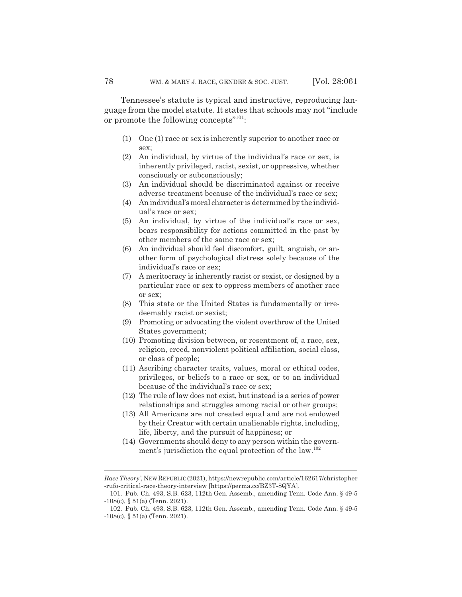Tennessee's statute is typical and instructive, reproducing language from the model statute. It states that schools may not "include or promote the following concepts"<sup>101</sup>:

- (1) One (1) race or sex is inherently superior to another race or sex;
- (2) An individual, by virtue of the individual's race or sex, is inherently privileged, racist, sexist, or oppressive, whether consciously or subconsciously;
- (3) An individual should be discriminated against or receive adverse treatment because of the individual's race or sex;
- (4) An individual's moral character is determined by the individual's race or sex;
- (5) An individual, by virtue of the individual's race or sex, bears responsibility for actions committed in the past by other members of the same race or sex;
- (6) An individual should feel discomfort, guilt, anguish, or another form of psychological distress solely because of the individual's race or sex;
- (7) A meritocracy is inherently racist or sexist, or designed by a particular race or sex to oppress members of another race or sex;
- (8) This state or the United States is fundamentally or irredeemably racist or sexist;
- (9) Promoting or advocating the violent overthrow of the United States government;
- (10) Promoting division between, or resentment of, a race, sex, religion, creed, nonviolent political affiliation, social class, or class of people;
- (11) Ascribing character traits, values, moral or ethical codes, privileges, or beliefs to a race or sex, or to an individual because of the individual's race or sex;
- (12) The rule of law does not exist, but instead is a series of power relationships and struggles among racial or other groups;
- (13) All Americans are not created equal and are not endowed by their Creator with certain unalienable rights, including, life, liberty, and the pursuit of happiness; or
- (14) Governments should deny to any person within the government's jurisdiction the equal protection of the law.<sup>102</sup>

*Race Theory'*, NEWREPUBLIC (2021), https://newrepublic.com/article/162617/christopher -rufo-critical-race-theory-interview [https://perma.cc/BZ3T-8QYA].

<sup>101.</sup> Pub. Ch. 493, S.B. 623, 112th Gen. Assemb., amending Tenn. Code Ann. § 49-5  $-108(c)$ , §  $51(a)$  (Tenn. 2021).

<sup>102.</sup> Pub. Ch. 493, S.B. 623, 112th Gen. Assemb., amending Tenn. Code Ann. § 49-5  $-108(c)$ , §  $51(a)$  (Tenn. 2021).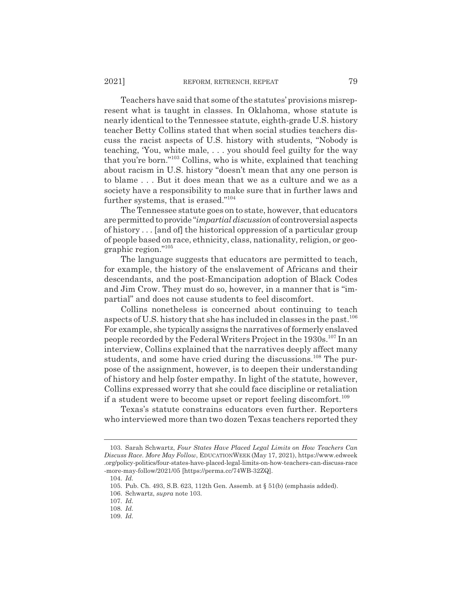Teachers have said that some of the statutes' provisions misrepresent what is taught in classes. In Oklahoma, whose statute is nearly identical to the Tennessee statute, eighth-grade U.S. history teacher Betty Collins stated that when social studies teachers discuss the racist aspects of U.S. history with students, "Nobody is teaching, 'You, white male, . . . you should feel guilty for the way that you're born."103 Collins, who is white, explained that teaching about racism in U.S. history "doesn't mean that any one person is to blame . . . But it does mean that we as a culture and we as a society have a responsibility to make sure that in further laws and further systems, that is erased."104

The Tennessee statute goes on to state, however, that educators are permitted to provide "*impartial discussion* of controversial aspects of history . . . [and of] the historical oppression of a particular group of people based on race, ethnicity, class, nationality, religion, or geographic region."105

The language suggests that educators are permitted to teach, for example, the history of the enslavement of Africans and their descendants, and the post-Emancipation adoption of Black Codes and Jim Crow. They must do so, however, in a manner that is "impartial" and does not cause students to feel discomfort.

Collins nonetheless is concerned about continuing to teach aspects of U.S. history that she has included in classes in the past.<sup>106</sup> For example, she typically assigns the narratives of formerly enslaved people recorded by the Federal Writers Project in the 1930s.107 In an interview, Collins explained that the narratives deeply affect many students, and some have cried during the discussions.<sup>108</sup> The purpose of the assignment, however, is to deepen their understanding of history and help foster empathy. In light of the statute, however, Collins expressed worry that she could face discipline or retaliation if a student were to become upset or report feeling discomfort.<sup>109</sup>

Texas's statute constrains educators even further. Reporters who interviewed more than two dozen Texas teachers reported they

<sup>103.</sup> Sarah Schwartz, *Four States Have Placed Legal Limits on How Teachers Can Discuss Race. More May Follow*, EDUCATIONWEEK (May 17, 2021), https://www.edweek .org/policy-politics/four-states-have-placed-legal-limits-on-how-teachers-can-discuss-race -more-may-follow/2021/05 [https://perma.cc/74WB-32ZQ].

<sup>104.</sup> *Id.*

<sup>105.</sup> Pub. Ch. 493, S.B. 623, 112th Gen. Assemb. at § 51(b) (emphasis added).

<sup>106.</sup> Schwartz, *supra* note 103.

<sup>107.</sup> *Id.*

<sup>108.</sup> *Id.*

<sup>109.</sup> *Id.*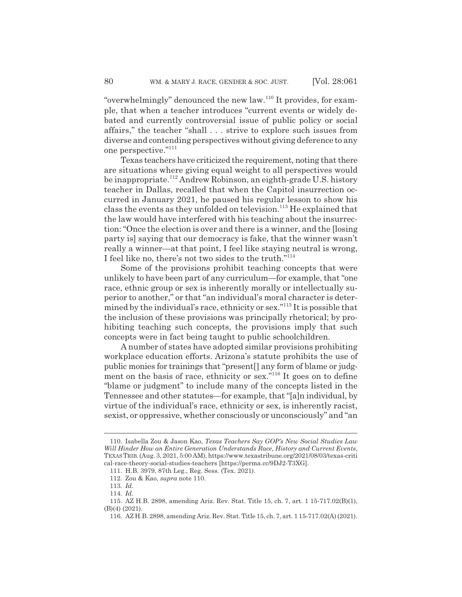"overwhelmingly" denounced the new law.<sup>110</sup> It provides, for example, that when a teacher introduces "current events or widely debated and currently controversial issue of public policy or social affairs," the teacher "shall . . . strive to explore such issues from diverse and contending perspectives without giving deference to any one perspective."111

Texas teachers have criticized the requirement, noting that there are situations where giving equal weight to all perspectives would be inappropriate.112 Andrew Robinson, an eighth-grade U.S. history teacher in Dallas, recalled that when the Capitol insurrection occurred in January 2021, he paused his regular lesson to show his class the events as they unfolded on television.<sup>113</sup> He explained that the law would have interfered with his teaching about the insurrection: "Once the election is over and there is a winner, and the [losing party is] saying that our democracy is fake, that the winner wasn't really a winner—at that point, I feel like staying neutral is wrong, I feel like no, there's not two sides to the truth."114

Some of the provisions prohibit teaching concepts that were unlikely to have been part of any curriculum—for example, that "one race, ethnic group or sex is inherently morally or intellectually superior to another," or that "an individual's moral character is determined by the individual's race, ethnicity or sex."115 It is possible that the inclusion of these provisions was principally rhetorical; by prohibiting teaching such concepts, the provisions imply that such concepts were in fact being taught to public schoolchildren.

A number of states have adopted similar provisions prohibiting workplace education efforts. Arizona's statute prohibits the use of public monies for trainings that "present[] any form of blame or judgment on the basis of race, ethnicity or sex."116 It goes on to define "blame or judgment" to include many of the concepts listed in the Tennessee and other statutes—for example, that "[a]n individual, by virtue of the individual's race, ethnicity or sex, is inherently racist, sexist, or oppressive, whether consciously or unconsciously" and "an

<sup>110.</sup> Isabella Zou & Jason Kao, *Texas Teachers Say GOP's New Social Studies Law Will Hinder How an Entire Generation Understands Race, History and Current Events*, TEXASTRIB.(Aug. 3, 2021, 5:00 AM), https://www.texastribune.org/2021/08/03/texas-criti cal-race-theory-social-studies-teachers [https://perma.cc/9DJ2-T3XG].

<sup>111.</sup> H.B. 3979, 87th Leg., Reg. Sess. (Tex. 2021).

<sup>112.</sup> Zou & Kao, *supra* note 110.

<sup>113.</sup> *Id.*

<sup>114.</sup> *Id.*

<sup>115.</sup> AZ H.B. 2898, amending Ariz. Rev. Stat. Title 15, ch. 7, art. 1 15-717.02(B)(1), (B)(4) (2021).

<sup>116.</sup> AZ H.B. 2898, amending Ariz. Rev. Stat. Title 15, ch. 7, art. 1 15-717.02(A) (2021).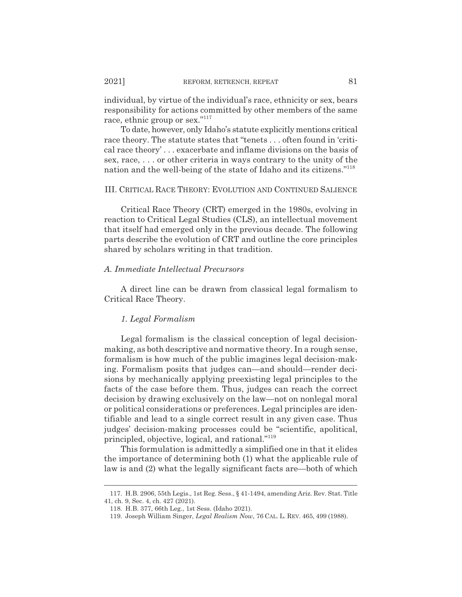individual, by virtue of the individual's race, ethnicity or sex, bears responsibility for actions committed by other members of the same race, ethnic group or sex."<sup>117</sup>

To date, however, only Idaho's statute explicitly mentions critical race theory. The statute states that "tenets . . . often found in 'critical race theory' . . . exacerbate and inflame divisions on the basis of sex, race, . . . or other criteria in ways contrary to the unity of the nation and the well-being of the state of Idaho and its citizens."118

### III. CRITICAL RACE THEORY: EVOLUTION AND CONTINUED SALIENCE

Critical Race Theory (CRT) emerged in the 1980s, evolving in reaction to Critical Legal Studies (CLS), an intellectual movement that itself had emerged only in the previous decade. The following parts describe the evolution of CRT and outline the core principles shared by scholars writing in that tradition.

# *A. Immediate Intellectual Precursors*

A direct line can be drawn from classical legal formalism to Critical Race Theory.

# *1. Legal Formalism*

Legal formalism is the classical conception of legal decisionmaking, as both descriptive and normative theory. In a rough sense, formalism is how much of the public imagines legal decision-making. Formalism posits that judges can—and should—render decisions by mechanically applying preexisting legal principles to the facts of the case before them. Thus, judges can reach the correct decision by drawing exclusively on the law—not on nonlegal moral or political considerations or preferences. Legal principles are identifiable and lead to a single correct result in any given case. Thus judges' decision-making processes could be "scientific, apolitical, principled, objective, logical, and rational."119

This formulation is admittedly a simplified one in that it elides the importance of determining both (1) what the applicable rule of law is and (2) what the legally significant facts are—both of which

<sup>117.</sup> H.B. 2906, 55th Legis., 1st Reg. Sess., § 41-1494, amending Ariz. Rev. Stat. Title 41, ch. 9, Sec. 4, ch. 427 (2021).

<sup>118.</sup> H.B. 377, 66th Leg., 1st Sess. (Idaho 2021).

<sup>119.</sup> Joseph William Singer, *Legal Realism Now*, 76 CAL. L. REV. 465, 499 (1988).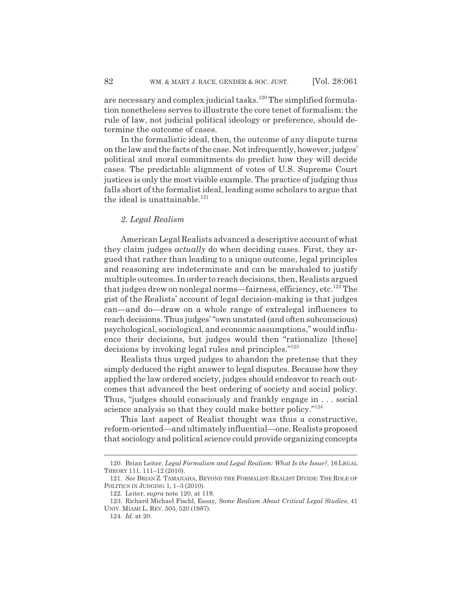are necessary and complex judicial tasks.<sup>120</sup> The simplified formulation nonetheless serves to illustrate the core tenet of formalism: the rule of law, not judicial political ideology or preference, should determine the outcome of cases.

In the formalistic ideal, then, the outcome of any dispute turns on the law and the facts of the case. Not infrequently, however, judges' political and moral commitments do predict how they will decide cases. The predictable alignment of votes of U.S. Supreme Court justices is only the most visible example. The practice of judging thus falls short of the formalist ideal, leading some scholars to argue that the ideal is unattainable.<sup>121</sup>

# *2. Legal Realism*

American Legal Realists advanced a descriptive account of what they claim judges *actually* do when deciding cases. First, they argued that rather than leading to a unique outcome, legal principles and reasoning are indeterminate and can be marshaled to justify multiple outcomes. In order to reach decisions, then, Realists argued that judges drew on nonlegal norms—fairness, efficiency, etc.<sup>122</sup> The gist of the Realists' account of legal decision-making is that judges can—and do—draw on a whole range of extralegal influences to reach decisions. Thus judges' "own unstated (and often subconscious) psychological, sociological, and economic assumptions," would influence their decisions, but judges would then "rationalize [these] decisions by invoking legal rules and principles."123

Realists thus urged judges to abandon the pretense that they simply deduced the right answer to legal disputes. Because how they applied the law ordered society, judges should endeavor to reach outcomes that advanced the best ordering of society and social policy. Thus, "judges should consciously and frankly engage in . . . social science analysis so that they could make better policy."<sup>124</sup>

This last aspect of Realist thought was thus a constructive, reform-oriented—and ultimately influential—one. Realists proposed that sociology and political science could provide organizing concepts

<sup>120.</sup> Brian Leiter, *Legal Formalism and Legal Realism: What Is the Issue?*, 16 LEGAL THEORY 111, 111–12 (2010).

<sup>121.</sup> *See* BRIAN Z. TAMANAHA, BEYOND THE FORMALIST-REALIST DIVIDE: THE ROLE OF POLITICS IN JUDGING 1, 1–3 (2010).

<sup>122.</sup> Leiter, *supra* note 120, at 119.

<sup>123.</sup> Richard Michael Fischl, Essay, *Some Realism About Critical Legal Studies*, 41 UNIV. MIAMI L. REV. 505, 520 (1987).

<sup>124.</sup> *Id.* at 20.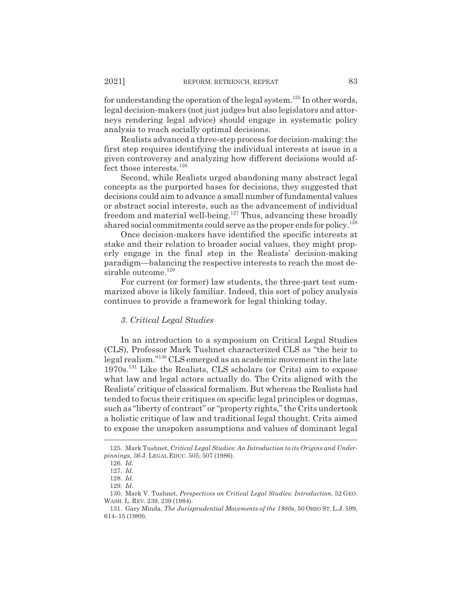for understanding the operation of the legal system.<sup>125</sup> In other words, legal decision-makers (not just judges but also legislators and attorneys rendering legal advice) should engage in systematic policy analysis to reach socially optimal decisions.

Realists advanced a three-step process for decision-making: the first step requires identifying the individual interests at issue in a given controversy and analyzing how different decisions would affect those interests.126

Second, while Realists urged abandoning many abstract legal concepts as the purported bases for decisions, they suggested that decisions could aim to advance a small number of fundamental values or abstract social interests, such as the advancement of individual freedom and material well-being.127 Thus, advancing these broadly shared social commitments could serve as the proper ends for policy.<sup>128</sup>

Once decision-makers have identified the specific interests at stake and their relation to broader social values, they might properly engage in the final step in the Realists' decision-making paradigm—balancing the respective interests to reach the most desirable outcome.<sup>129</sup>

For current (or former) law students, the three-part test summarized above is likely familiar. Indeed, this sort of policy analysis continues to provide a framework for legal thinking today.

### *3. Critical Legal Studies*

In an introduction to a symposium on Critical Legal Studies (CLS), Professor Mark Tushnet characterized CLS as "the heir to legal realism."130 CLS emerged as an academic movement in the late 1970s.131 Like the Realists, CLS scholars (or Crits) aim to expose what law and legal actors actually do. The Crits aligned with the Realists' critique of classical formalism. But whereas the Realists had tended to focus their critiques on specific legal principles or dogmas, such as "liberty of contract" or "property rights," the Crits undertook a holistic critique of law and traditional legal thought. Crits aimed to expose the unspoken assumptions and values of dominant legal

<sup>125.</sup> Mark Tushnet, *Critical Legal Studies: An Introduction to its Origins and Underpinnings*, 36 J. LEGAL EDUC. 505, 507 (1986).

<sup>126.</sup> *Id.*

<sup>127.</sup> *Id.*

<sup>128.</sup> *Id.*

<sup>129.</sup> *Id.*

<sup>130.</sup> Mark V. Tushnet, *Perspectives on Critical Legal Studies: Introduction*, 52 GEO. WASH. L. REV. 239, 239 (1984).

<sup>131.</sup> Gary Minda, *The Jurisprudential Movements of the 1980s*, 50 OHIO ST. L.J. 599, 614–15 (1989).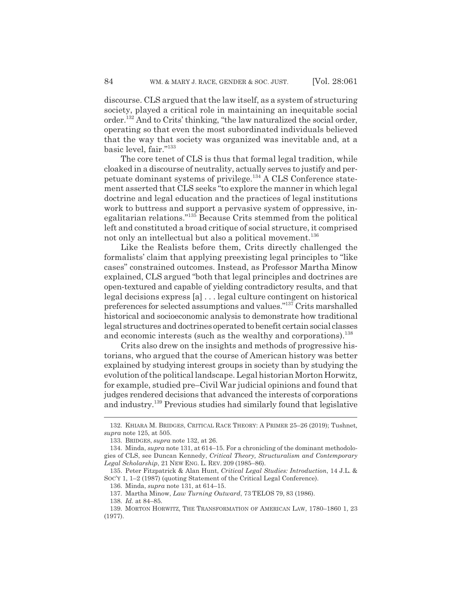discourse. CLS argued that the law itself, as a system of structuring society, played a critical role in maintaining an inequitable social order.<sup>132</sup> And to Crits' thinking, "the law naturalized the social order, operating so that even the most subordinated individuals believed that the way that society was organized was inevitable and, at a basic level, fair."133

The core tenet of CLS is thus that formal legal tradition, while cloaked in a discourse of neutrality, actually serves to justify and perpetuate dominant systems of privilege.134 A CLS Conference statement asserted that CLS seeks "to explore the manner in which legal doctrine and legal education and the practices of legal institutions work to buttress and support a pervasive system of oppressive, inegalitarian relations."135 Because Crits stemmed from the political left and constituted a broad critique of social structure, it comprised not only an intellectual but also a political movement.<sup>136</sup>

Like the Realists before them, Crits directly challenged the formalists' claim that applying preexisting legal principles to "like cases" constrained outcomes. Instead, as Professor Martha Minow explained, CLS argued "both that legal principles and doctrines are open-textured and capable of yielding contradictory results, and that legal decisions express [a] . . . legal culture contingent on historical preferences for selected assumptions and values."137 Crits marshalled historical and socioeconomic analysis to demonstrate how traditional legal structures and doctrines operated to benefit certain social classes and economic interests (such as the wealthy and corporations).<sup>138</sup>

Crits also drew on the insights and methods of progressive historians, who argued that the course of American history was better explained by studying interest groups in society than by studying the evolution of the political landscape. Legal historian Morton Horwitz, for example, studied pre–Civil War judicial opinions and found that judges rendered decisions that advanced the interests of corporations and industry.139 Previous studies had similarly found that legislative

<sup>132.</sup> KHIARA M. BRIDGES, CRITICAL RACE THEORY:APRIMER 25–26 (2019); Tushnet*, supra* note 125, at 505.

<sup>133.</sup> BRIDGES, *supra* note 132, at 26.

<sup>134.</sup> Minda, *supra* note 131, at 614–15. For a chronicling of the dominant methodologies of CLS, see Duncan Kennedy, *Critical Theory, Structuralism and Contemporary Legal Scholarship*, 21 NEW ENG. L. REV. 209 (1985–86).

<sup>135.</sup> Peter Fitzpatrick & Alan Hunt, *Critical Legal Studies: Introduction*, 14 J.L. & SOC'Y 1, 1–2 (1987) (quoting Statement of the Critical Legal Conference).

<sup>136.</sup> Minda, *supra* note 131, at 614–15.

<sup>137.</sup> Martha Minow, *Law Turning Outward*, 73 TELOS 79, 83 (1986).

<sup>138.</sup> *Id.* at 84–85.

<sup>139.</sup> MORTON HORWITZ, THE TRANSFORMATION OF AMERICAN LAW, 1780–1860 1, 23 (1977).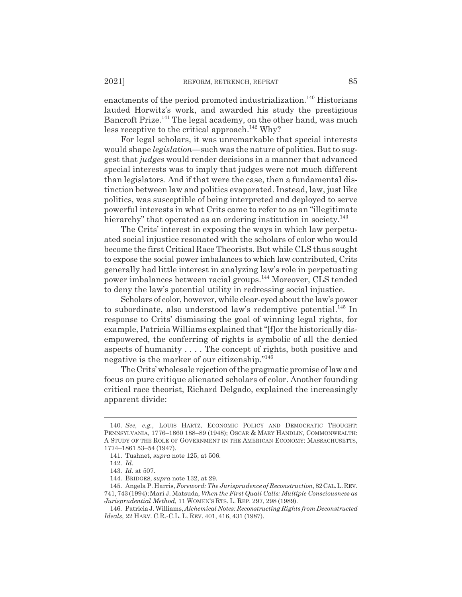enactments of the period promoted industrialization.<sup>140</sup> Historians lauded Horwitz's work, and awarded his study the prestigious Bancroft Prize.<sup>141</sup> The legal academy, on the other hand, was much less receptive to the critical approach.<sup>142</sup> Why?

For legal scholars, it was unremarkable that special interests would shape *legislation*—such was the nature of politics. But to suggest that *judges* would render decisions in a manner that advanced special interests was to imply that judges were not much different than legislators. And if that were the case, then a fundamental distinction between law and politics evaporated. Instead, law, just like politics, was susceptible of being interpreted and deployed to serve powerful interests in what Crits came to refer to as an "illegitimate hierarchy" that operated as an ordering institution in society.<sup>143</sup>

The Crits' interest in exposing the ways in which law perpetuated social injustice resonated with the scholars of color who would become the first Critical Race Theorists. But while CLS thus sought to expose the social power imbalances to which law contributed, Crits generally had little interest in analyzing law's role in perpetuating power imbalances between racial groups.144 Moreover, CLS tended to deny the law's potential utility in redressing social injustice.

Scholars of color, however, while clear-eyed about the law's power to subordinate, also understood law's redemptive potential.<sup>145</sup> In response to Crits' dismissing the goal of winning legal rights, for example, Patricia Williams explained that "[f]or the historically disempowered, the conferring of rights is symbolic of all the denied aspects of humanity . . . . The concept of rights, both positive and negative is the marker of our citizenship."146

The Crits' wholesale rejection of the pragmatic promise of law and focus on pure critique alienated scholars of color. Another founding critical race theorist, Richard Delgado, explained the increasingly apparent divide:

<sup>140.</sup> *See, e.g.*, LOUIS HARTZ, ECONOMIC POLICY AND DEMOCRATIC THOUGHT: PENNSYLVANIA, 1776–1860 188–89 (1948); OSCAR & MARY HANDLIN, COMMONWEALTH: A STUDY OF THE ROLE OF GOVERNMENT IN THE AMERICAN ECONOMY: MASSACHUSETTS, 1774–1861 53–54 (1947).

<sup>141.</sup> Tushnet, *supra* note 125, at 506.

<sup>142.</sup> *Id.*

<sup>143.</sup> *Id.* at 507.

<sup>144.</sup> BRIDGES, *supra* note 132, at 29.

<sup>145.</sup> Angela P. Harris, *Foreword: The Jurisprudence of Reconstruction*, 82CAL.L.REV. 741, 743 (1994); Mari J. Matsuda, *When the First Quail Calls: Multiple Consciousness as Jurisprudential Method*, 11 WOMEN'S RTS. L. REP. 297, 298 (1989).

<sup>146.</sup> Patricia J. Williams, *Alchemical Notes: Reconstructing Rights from Deconstructed Ideals*, 22 HARV. C.R.-C.L. L. REV. 401, 416, 431 (1987).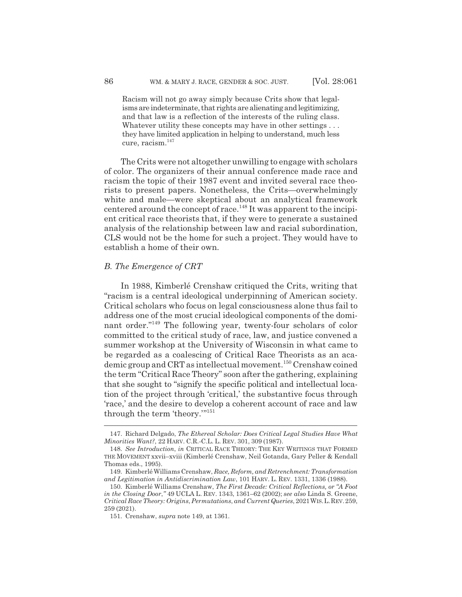Racism will not go away simply because Crits show that legalisms are indeterminate, that rights are alienating and legitimizing, and that law is a reflection of the interests of the ruling class. Whatever utility these concepts may have in other settings ... they have limited application in helping to understand, much less cure, racism.<sup>147</sup>

The Crits were not altogether unwilling to engage with scholars of color. The organizers of their annual conference made race and racism the topic of their 1987 event and invited several race theorists to present papers. Nonetheless, the Crits—overwhelmingly white and male—were skeptical about an analytical framework centered around the concept of race.<sup>148</sup> It was apparent to the incipient critical race theorists that, if they were to generate a sustained analysis of the relationship between law and racial subordination, CLS would not be the home for such a project. They would have to establish a home of their own.

#### *B. The Emergence of CRT*

In 1988, Kimberlé Crenshaw critiqued the Crits, writing that "racism is a central ideological underpinning of American society. Critical scholars who focus on legal consciousness alone thus fail to address one of the most crucial ideological components of the dominant order."149 The following year, twenty-four scholars of color committed to the critical study of race, law, and justice convened a summer workshop at the University of Wisconsin in what came to be regarded as a coalescing of Critical Race Theorists as an academic group and CRT as intellectual movement.<sup>150</sup> Crenshaw coined the term "Critical Race Theory" soon after the gathering, explaining that she sought to "signify the specific political and intellectual location of the project through 'critical,' the substantive focus through 'race,' and the desire to develop a coherent account of race and law through the term 'theory.'"151

<sup>147.</sup> Richard Delgado, *The Ethereal Scholar: Does Critical Legal Studies Have What Minorities Want?*, 22 HARV. C.R.-C.L. L. REV. 301, 309 (1987).

<sup>148.</sup> *See Introduction*, *in* CRITICAL RACE THEORY: THE KEY WRITINGS THAT FORMED THE MOVEMENT xxvii–xviii (Kimberlé Crenshaw, Neil Gotanda, Gary Peller & Kendall Thomas eds., 1995).

<sup>149.</sup> Kimberlé Williams Crenshaw, *Race, Reform, and Retrenchment: Transformation and Legitimation in Antidiscrimination Law*, 101 HARV. L. REV. 1331, 1336 (1988).

<sup>150.</sup> Kimberlé Williams Crenshaw, *The First Decade: Critical Reflections, or "A Foot in the Closing Door*,*"* 49 UCLA L. REV. 1343, 1361–62 (2002); *see also* Linda S. Greene, *Critical Race Theory: Origins*, *Permutations*, *and Current Queries*, 2021WIS.L.REV.259, 259 (2021).

<sup>151.</sup> Crenshaw, *supra* note 149, at 1361.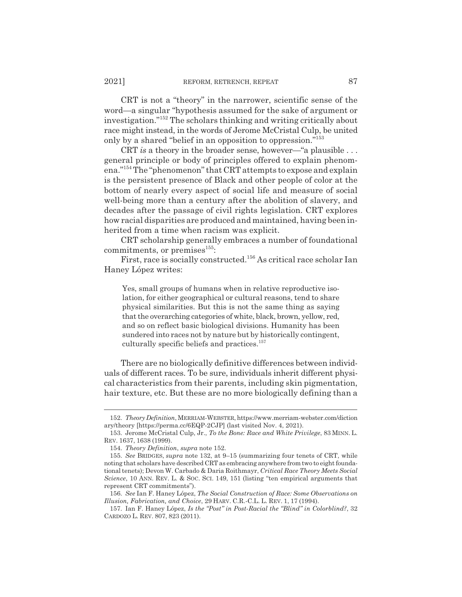CRT is not a "theory" in the narrower, scientific sense of the word—a singular "hypothesis assumed for the sake of argument or investigation."152 The scholars thinking and writing critically about race might instead, in the words of Jerome McCristal Culp, be united only by a shared "belief in an opposition to oppression."153

CRT *is* a theory in the broader sense, however—"a plausible . . . general principle or body of principles offered to explain phenomena."154 The "phenomenon" that CRT attempts to expose and explain is the persistent presence of Black and other people of color at the bottom of nearly every aspect of social life and measure of social well-being more than a century after the abolition of slavery, and decades after the passage of civil rights legislation. CRT explores how racial disparities are produced and maintained, having been inherited from a time when racism was explicit.

CRT scholarship generally embraces a number of foundational commitments, or premises $^{155}$ :

First, race is socially constructed.<sup>156</sup> As critical race scholar Ian Haney López writes:

Yes, small groups of humans when in relative reproductive isolation, for either geographical or cultural reasons, tend to share physical similarities. But this is not the same thing as saying that the overarching categories of white, black, brown, yellow, red, and so on reflect basic biological divisions. Humanity has been sundered into races not by nature but by historically contingent, culturally specific beliefs and practices.157

There are no biologically definitive differences between individuals of different races. To be sure, individuals inherit different physical characteristics from their parents, including skin pigmentation, hair texture, etc. But these are no more biologically defining than a

<sup>152.</sup> *Theory Definition*, MERRIAM-WEBSTER, https://www.merriam-webster.com/diction ary/theory [https://perma.cc/6EQP-2CJP] (last visited Nov. 4, 2021).

<sup>153.</sup> Jerome McCristal Culp, Jr., *To the Bone: Race and White Privilege*, 83 MINN. L. REV. 1637, 1638 (1999).

<sup>154.</sup> *Theory Definition*, *supra* note 152.

<sup>155.</sup> *See* BRIDGES, *supra* note 132, at 9–15 (summarizing four tenets of CRT, while noting that scholars have described CRT as embracing anywhere from two to eight foundational tenets); Devon W. Carbado & Daria Roithmayr, *Critical Race Theory Meets Social Science*, 10 ANN. REV. L. & SOC. SCI. 149, 151 (listing "ten empirical arguments that represent CRT commitments").

<sup>156.</sup> *See* Ian F. Haney López, *The Social Construction of Race: Some Observations on Illusion, Fabrication, and Choice*, 29 HARV. C.R.-C.L. L. REV. 1, 17 (1994).

<sup>157.</sup> Ian F. Haney López, *Is the "Post" in Post-Racial the "Blind" in Colorblind?*, 32 CARDOZO L. REV. 807, 823 (2011).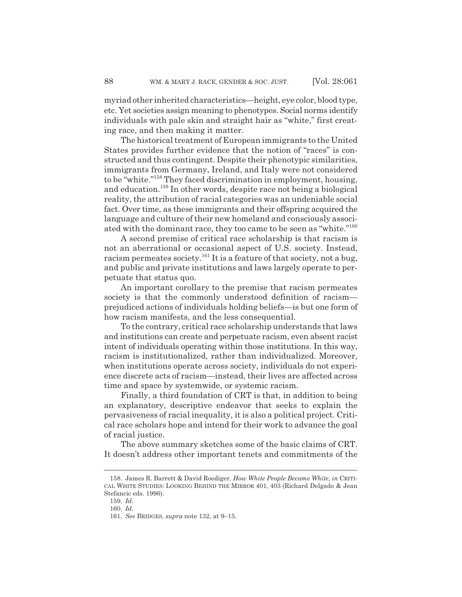myriad other inherited characteristics—height, eye color, blood type, etc. Yet societies assign meaning to phenotypes. Social norms identify individuals with pale skin and straight hair as "white," first creating race, and then making it matter.

The historical treatment of European immigrants to the United States provides further evidence that the notion of "races" is constructed and thus contingent. Despite their phenotypic similarities, immigrants from Germany, Ireland, and Italy were not considered to be "white."158 They faced discrimination in employment, housing, and education.159 In other words, despite race not being a biological reality, the attribution of racial categories was an undeniable social fact. Over time, as these immigrants and their offspring acquired the language and culture of their new homeland and consciously associated with the dominant race, they too came to be seen as "white."160

A second premise of critical race scholarship is that racism is not an aberrational or occasional aspect of U.S. society. Instead, racism permeates society.<sup>161</sup> It is a feature of that society, not a bug, and public and private institutions and laws largely operate to perpetuate that status quo.

An important corollary to the premise that racism permeates society is that the commonly understood definition of racism prejudiced actions of individuals holding beliefs—is but one form of how racism manifests, and the less consequential.

To the contrary, critical race scholarship understands that laws and institutions can create and perpetuate racism, even absent racist intent of individuals operating within those institutions. In this way, racism is institutionalized, rather than individualized. Moreover, when institutions operate across society, individuals do not experience discrete acts of racism—instead, their lives are affected across time and space by systemwide, or systemic racism.

Finally, a third foundation of CRT is that, in addition to being an explanatory, descriptive endeavor that seeks to explain the pervasiveness of racial inequality, it is also a political project. Critical race scholars hope and intend for their work to advance the goal of racial justice.

The above summary sketches some of the basic claims of CRT. It doesn't address other important tenets and commitments of the

<sup>158.</sup> James R. Barrett & David Roediger, *How White People Became White*, *in* CRITI-CAL WHITE STUDIES: LOOKING BEHIND THE MIRROR 401, 403 (Richard Delgado & Jean Stefancic eds. 1996).

<sup>159.</sup> *Id.*

<sup>160.</sup> *Id.*

<sup>161.</sup> *See* BRIDGES, *supra* note 132, at 9–15.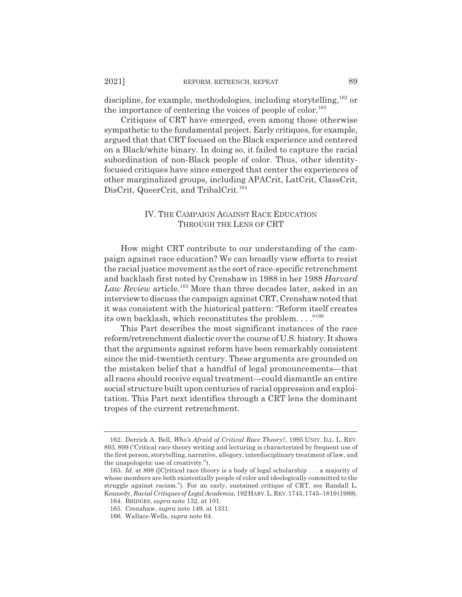discipline, for example, methodologies, including storytelling,  $^{162}$  or the importance of centering the voices of people of color.<sup>163</sup>

Critiques of CRT have emerged, even among those otherwise sympathetic to the fundamental project. Early critiques, for example, argued that that CRT focused on the Black experience and centered on a Black/white binary. In doing so, it failed to capture the racial subordination of non-Black people of color. Thus, other identityfocused critiques have since emerged that center the experiences of other marginalized groups, including APACrit, LatCrit, ClassCrit, DisCrit, QueerCrit, and TribalCrit.<sup>164</sup>

# IV. THE CAMPAIGN AGAINST RACE EDUCATION THROUGH THE LENS OF CRT

How might CRT contribute to our understanding of the campaign against race education? We can broadly view efforts to resist the racial justice movement as the sort of race-specific retrenchment and backlash first noted by Crenshaw in 1988 in her 1988 *Harvard Law Review* article.165 More than three decades later, asked in an interview to discuss the campaign against CRT, Crenshaw noted that it was consistent with the historical pattern: "Reform itself creates its own backlash, which reconstitutes the problem. . . ."166

This Part describes the most significant instances of the race reform/retrenchment dialectic over the course of U.S. history. It shows that the arguments against reform have been remarkably consistent since the mid-twentieth century. These arguments are grounded on the mistaken belief that a handful of legal pronouncements—that all races should receive equal treatment—could dismantle an entire social structure built upon centuries of racial oppression and exploitation. This Part next identifies through a CRT lens the dominant tropes of the current retrenchment.

<sup>162.</sup> Derrick A. Bell, *Who's Afraid of Critical Race Theory?*, 1995 UNIV. ILL. L. REV. 893, 899 ("Critical race theory writing and lecturing is characterized by frequent use of the first person, storytelling, narrative, allegory, interdisciplinary treatment of law, and the unapologetic use of creativity.").

<sup>163.</sup> *Id.* at 898 ([C]ritical race theory is a body of legal scholarship . . . a majority of whose members are both existentially people of color and ideologically committed to the struggle against racism."). For an early, sustained critique of CRT, see Randall L. Kennedy, *Racial Critiques of Legal Academia,* 192HARV.L.REV.1745,1745–1819(1989).

<sup>164.</sup> BRIDGES, *supra* note 132, at 101.

<sup>165.</sup> Crenshaw, *supra* note 149, at 1331.

<sup>166.</sup> Wallace-Wells, *supra* note 64.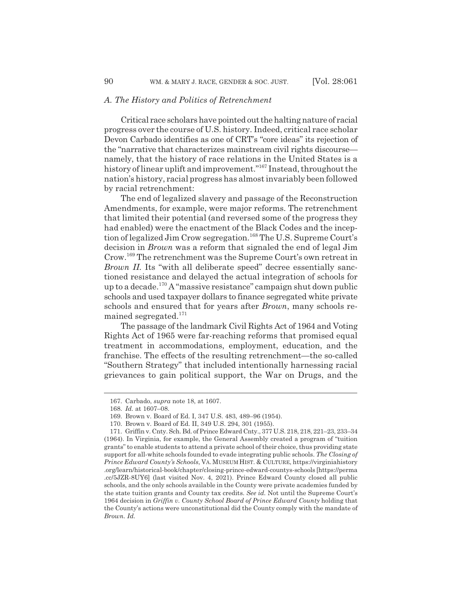#### *A. The History and Politics of Retrenchment*

Critical race scholars have pointed out the halting nature of racial progress over the course of U.S. history. Indeed, critical race scholar Devon Carbado identifies as one of CRT's "core ideas" its rejection of the "narrative that characterizes mainstream civil rights discourse namely, that the history of race relations in the United States is a history of linear uplift and improvement."<sup>167</sup> Instead, throughout the nation's history, racial progress has almost invariably been followed by racial retrenchment:

The end of legalized slavery and passage of the Reconstruction Amendments, for example, were major reforms. The retrenchment that limited their potential (and reversed some of the progress they had enabled) were the enactment of the Black Codes and the inception of legalized Jim Crow segregation.<sup>168</sup> The U.S. Supreme Court's decision in *Brown* was a reform that signaled the end of legal Jim Crow.169 The retrenchment was the Supreme Court's own retreat in *Brown II.* Its "with all deliberate speed" decree essentially sanctioned resistance and delayed the actual integration of schools for up to a decade.170 A "massive resistance" campaign shut down public schools and used taxpayer dollars to finance segregated white private schools and ensured that for years after *Brown*, many schools remained segregated.<sup>171</sup>

The passage of the landmark Civil Rights Act of 1964 and Voting Rights Act of 1965 were far-reaching reforms that promised equal treatment in accommodations, employment, education, and the franchise. The effects of the resulting retrenchment—the so-called "Southern Strategy" that included intentionally harnessing racial grievances to gain political support, the War on Drugs, and the

<sup>167.</sup> Carbado, *supra* note 18, at 1607.

<sup>168.</sup> *Id.* at 1607–08.

<sup>169.</sup> Brown v. Board of Ed. I, 347 U.S. 483, 489–96 (1954).

<sup>170.</sup> Brown v. Board of Ed. II, 349 U.S. 294, 301 (1955).

<sup>171.</sup> Griffin v. Cnty. Sch. Bd. of Prince Edward Cnty., 377 U.S. 218, 218, 221–23, 233–34 (1964). In Virginia, for example, the General Assembly created a program of "tuition grants" to enable students to attend a private school of their choice, thus providing state support for all-white schools founded to evade integrating public schools. *The Closing of Prince Edward County's Schools*, VA. MUSEUM HIST. & CULTURE, https://virginiahistory .org/learn/historical-book/chapter/closing-prince-edward-countys-schools [https://perma .cc/5JZR-8UY6] (last visited Nov. 4, 2021). Prince Edward County closed all public schools, and the only schools available in the County were private academies funded by the state tuition grants and County tax credits. *See id.* Not until the Supreme Court's 1964 decision in *Griffin v. County School Board of Prince Edward County* holding that the County's actions were unconstitutional did the County comply with the mandate of *Brown. Id.*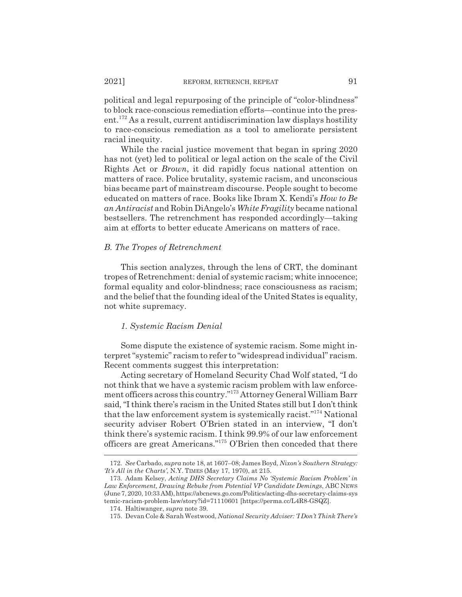political and legal repurposing of the principle of "color-blindness" to block race-conscious remediation efforts—continue into the present.172 As a result, current antidiscrimination law displays hostility to race-conscious remediation as a tool to ameliorate persistent racial inequity.

While the racial justice movement that began in spring 2020 has not (yet) led to political or legal action on the scale of the Civil Rights Act or *Brown*, it did rapidly focus national attention on matters of race. Police brutality, systemic racism, and unconscious bias became part of mainstream discourse. People sought to become educated on matters of race. Books like Ibram X. Kendi's *How to Be an Antiracist* and Robin DiAngelo's *White Fragility* became national bestsellers. The retrenchment has responded accordingly—taking aim at efforts to better educate Americans on matters of race.

### *B. The Tropes of Retrenchment*

This section analyzes, through the lens of CRT, the dominant tropes of Retrenchment: denial of systemic racism; white innocence; formal equality and color-blindness; race consciousness as racism; and the belief that the founding ideal of the United States is equality, not white supremacy.

#### *1. Systemic Racism Denial*

Some dispute the existence of systemic racism. Some might interpret "systemic" racism to refer to "widespread individual" racism. Recent comments suggest this interpretation:

Acting secretary of Homeland Security Chad Wolf stated, "I do not think that we have a systemic racism problem with law enforcement officers across this country."173 Attorney General William Barr said, "I think there's racism in the United States still but I don't think that the law enforcement system is systemically racist."174 National security adviser Robert O'Brien stated in an interview, "I don't think there's systemic racism. I think 99.9% of our law enforcement officers are great Americans."175 O'Brien then conceded that there

<sup>172.</sup> *See* Carbado, *supra* note 18, at 1607–08; James Boyd, *Nixon's Southern Strategy: 'It's All in the Charts'*, N.Y. TIMES (May 17, 1970), at 215.

<sup>173.</sup> Adam Kelsey, *Acting DHS Secretary Claims No 'Systemic Racism Problem' in Law Enforcement, Drawing Rebuke from Potential VP Candidate Demings*, ABC NEWS (June 7, 2020, 10:33 AM), https://abcnews.go.com/Politics/acting-dhs-secretary-claims-sys temic-racism-problem-law/story?id=71110601 [https://perma.cc/L4R8-GSQZ].

<sup>174.</sup> Haltiwanger, *supra* note 39.

<sup>175.</sup> Devan Cole & Sarah Westwood, *National Security Adviser: 'I Don't Think There's*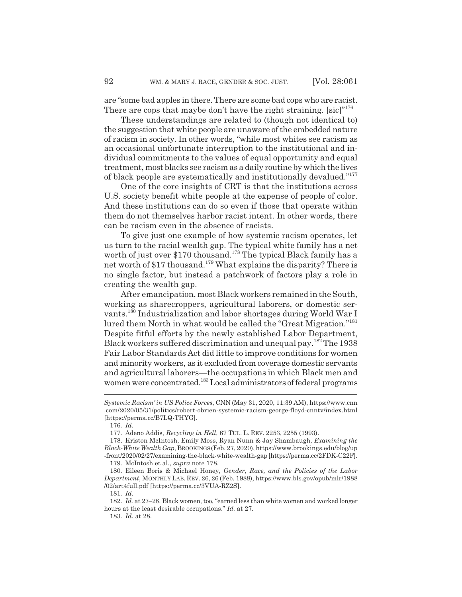are "some bad apples in there. There are some bad cops who are racist. There are cops that maybe don't have the right straining.  $[sic]$ <sup>"176</sup>

These understandings are related to (though not identical to) the suggestion that white people are unaware of the embedded nature of racism in society. In other words, "while most whites see racism as an occasional unfortunate interruption to the institutional and individual commitments to the values of equal opportunity and equal treatment, most blacks see racism as a daily routine by which the lives of black people are systematically and institutionally devalued."<sup>177</sup>

One of the core insights of CRT is that the institutions across U.S. society benefit white people at the expense of people of color. And these institutions can do so even if those that operate within them do not themselves harbor racist intent. In other words, there can be racism even in the absence of racists.

To give just one example of how systemic racism operates, let us turn to the racial wealth gap. The typical white family has a net worth of just over \$170 thousand.<sup>178</sup> The typical Black family has a net worth of \$17 thousand.179 What explains the disparity? There is no single factor, but instead a patchwork of factors play a role in creating the wealth gap.

After emancipation, most Black workers remained in the South, working as sharecroppers, agricultural laborers, or domestic servants.180 Industrialization and labor shortages during World War I lured them North in what would be called the "Great Migration."181 Despite fitful efforts by the newly established Labor Department, Black workers suffered discrimination and unequal pay.182 The 1938 Fair Labor Standards Act did little to improve conditions for women and minority workers, as it excluded from coverage domestic servants and agricultural laborers—the occupations in which Black men and women were concentrated.<sup>183</sup> Local administrators of federal programs

*Systemic Racism' in US Police Forces*, CNN (May 31, 2020, 11:39 AM), https://www.cnn .com/2020/05/31/politics/robert-obrien-systemic-racism-george-floyd-cnntv/index.html [https://perma.cc/B7LQ-THYG].

<sup>176.</sup> *Id.*

<sup>177.</sup> Adeno Addis, *Recycling in Hell*, 67 TUL. L. REV. 2253, 2255 (1993).

<sup>178.</sup> Kriston McIntosh, Emily Moss, Ryan Nunn & Jay Shambaugh, *Examining the Black-White Wealth Gap*, BROOKINGS(Feb. 27, 2020), https://www.brookings.edu/blog/up -front/2020/02/27/examining-the-black-white-wealth-gap [https://perma.cc/2FDK-C22F].

<sup>179.</sup> McIntosh et al., *supra* note 178.

<sup>180.</sup> Eileen Boris & Michael Honey, *Gender, Race, and the Policies of the Labor Department*, MONTHLY LAB. REV. 26, 26 (Feb. 1988), https://www.bls.gov/opub/mlr/1988 /02/art4full.pdf [https://perma.cc/3VUA-RZ2S].

<sup>181.</sup> *Id.*

<sup>182.</sup> *Id.* at 27–28. Black women, too, "earned less than white women and worked longer hours at the least desirable occupations." *Id.* at 27.

<sup>183.</sup> *Id.* at 28.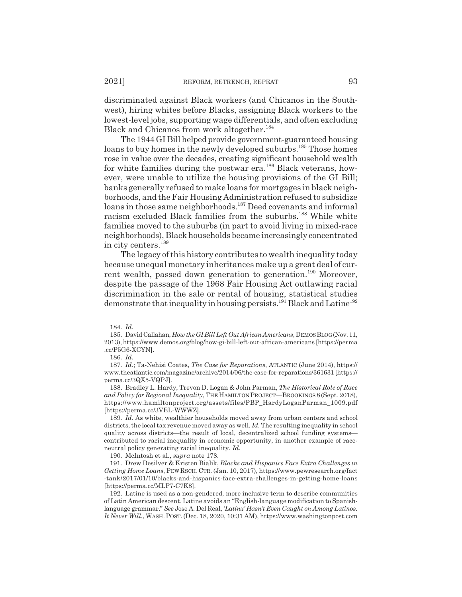discriminated against Black workers (and Chicanos in the Southwest), hiring whites before Blacks, assigning Black workers to the lowest-level jobs, supporting wage differentials, and often excluding Black and Chicanos from work altogether.<sup>184</sup>

The 1944 GI Bill helped provide government-guaranteed housing loans to buy homes in the newly developed suburbs.<sup>185</sup> Those homes rose in value over the decades, creating significant household wealth for white families during the postwar era.<sup>186</sup> Black veterans, however, were unable to utilize the housing provisions of the GI Bill; banks generally refused to make loans for mortgages in black neighborhoods, and the Fair Housing Administration refused to subsidize loans in those same neighborhoods.187 Deed covenants and informal racism excluded Black families from the suburbs.<sup>188</sup> While white families moved to the suburbs (in part to avoid living in mixed-race neighborhoods), Black households became increasingly concentrated in city centers.189

The legacy of this history contributes to wealth inequality today because unequal monetary inheritances make up a great deal of current wealth, passed down generation to generation.<sup>190</sup> Moreover, despite the passage of the 1968 Fair Housing Act outlawing racial discrimination in the sale or rental of housing, statistical studies demonstrate that inequality in housing persists.<sup>191</sup> Black and Latine<sup>192</sup>

189. *Id.* As white, wealthier households moved away from urban centers and school districts, the local tax revenue moved away as well. *Id.* The resulting inequality in school quality across districts—the result of local, decentralized school funding systems contributed to racial inequality in economic opportunity, in another example of raceneutral policy generating racial inequality. *Id.*

190. McIntosh et al., *supra* note 178.

191. Drew Desilver & Kristen Bialik, *Blacks and Hispanics Face Extra Challenges in Getting Home Loans*, PEW RSCH. CTR. (Jan. 10, 2017), https://www.pewresearch.org/fact -tank/2017/01/10/blacks-and-hispanics-face-extra-challenges-in-getting-home-loans [https://perma.cc/MLP7-C7K8].

<sup>184.</sup> *Id.*

<sup>185.</sup> David Callahan, *How the GI Bill Left Out African Americans*, DEMOSBLOG(Nov. 11, 2013), https://www.demos.org/blog/how-gi-bill-left-out-african-americans [https://perma .cc/P5G6-XCYN].

<sup>186.</sup> *Id.*

<sup>187.</sup> *Id.*; Ta-Nehisi Coates, *The Case for Reparations*, ATLANTIC (June 2014), https:// www.theatlantic.com/magazine/archive/2014/06/the-case-for-reparations/361631 [https:// perma.cc/3QX5-VQPJ].

<sup>188.</sup> Bradley L. Hardy, Trevon D. Logan & John Parman, *The Historical Role of Race and Policy for Regional Inequality*, THE HAMILTON PROJECT—BROOKINGS 8 (Sept. 2018), https://www.hamiltonproject.org/assets/files/PBP\_HardyLoganParman\_1009.pdf [https://perma.cc/3VEL-WWWZ].

<sup>192.</sup> Latine is used as a non-gendered, more inclusive term to describe communities of Latin American descent. Latine avoids an "English-language modification to Spanishlanguage grammar." *See* Jose A. Del Real, *'Latinx' Hasn't Even Caught on Among Latinos. It Never Will.*, WASH. POST. (Dec. 18, 2020, 10:31 AM), https://www.washingtonpost.com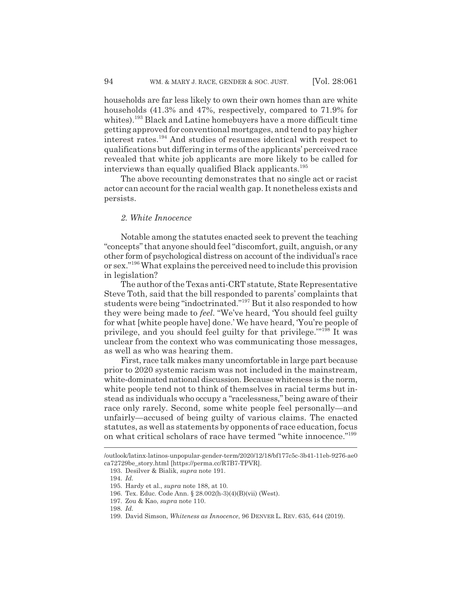households are far less likely to own their own homes than are white households (41.3% and 47%, respectively, compared to 71.9% for whites).<sup>193</sup> Black and Latine homebuyers have a more difficult time getting approved for conventional mortgages, and tend to pay higher interest rates.194 And studies of resumes identical with respect to qualifications but differing in terms of the applicants' perceived race revealed that white job applicants are more likely to be called for interviews than equally qualified Black applicants.<sup>195</sup>

The above recounting demonstrates that no single act or racist actor can account for the racial wealth gap. It nonetheless exists and persists.

#### *2. White Innocence*

Notable among the statutes enacted seek to prevent the teaching "concepts" that anyone should feel "discomfort, guilt, anguish, or any other form of psychological distress on account of the individual's race or sex."196 What explains the perceived need to include this provision in legislation?

The author of the Texas anti-CRT statute, State Representative Steve Toth, said that the bill responded to parents' complaints that students were being "indoctrinated."197 But it also responded to how they were being made to *feel.* "We've heard, 'You should feel guilty for what [white people have] done.' We have heard, 'You're people of privilege, and you should feel guilty for that privilege.'"198 It was unclear from the context who was communicating those messages, as well as who was hearing them.

First, race talk makes many uncomfortable in large part because prior to 2020 systemic racism was not included in the mainstream, white-dominated national discussion. Because whiteness is the norm, white people tend not to think of themselves in racial terms but instead as individuals who occupy a "racelessness," being aware of their race only rarely. Second, some white people feel personally—and unfairly—accused of being guilty of various claims. The enacted statutes, as well as statements by opponents of race education, focus on what critical scholars of race have termed "white innocence."199

<sup>/</sup>outlook/latinx-latinos-unpopular-gender-term/2020/12/18/bf177c5c-3b41-11eb-9276-ae0 ca72729be\_story.html [https://perma.cc/R7B7-TPVR].

<sup>193.</sup> Desilver & Bialik, *supra* note 191.

<sup>194.</sup> *Id.*

<sup>195.</sup> Hardy et al., *supra* note 188, at 10.

<sup>196.</sup> Tex. Educ. Code Ann. § 28.002(h-3)(4)(B)(vii) (West).

<sup>197.</sup> Zou & Kao, *supra* note 110.

<sup>198.</sup> *Id.*

<sup>199.</sup> David Simson, *Whiteness as Innocence*, 96 DENVER L. REV. 635, 644 (2019).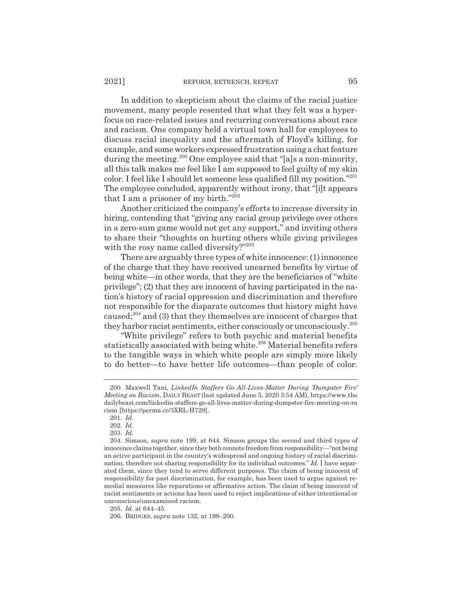In addition to skepticism about the claims of the racial justice movement, many people resented that what they felt was a hyperfocus on race-related issues and recurring conversations about race and racism. One company held a virtual town hall for employees to discuss racial inequality and the aftermath of Floyd's killing, for example, and some workers expressed frustration using a chat feature during the meeting.<sup>200</sup> One employee said that "[a]s a non-minority, all this talk makes me feel like I am supposed to feel guilty of my skin color. I feel like I should let someone less qualified fill my position."201 The employee concluded, apparently without irony, that "[i]t appears that I am a prisoner of my birth." $202$ 

Another criticized the company's efforts to increase diversity in hiring, contending that "giving any racial group privilege over others in a zero-sum game would not get any support," and inviting others to share their "thoughts on hurting others while giving privileges with the rosy name called diversity?"203

There are arguably three types of white innocence: (1) innocence of the charge that they have received unearned benefits by virtue of being white—in other words, that they are the beneficiaries of "white privilege"; (2) that they are innocent of having participated in the nation's history of racial oppression and discrimination and therefore not responsible for the disparate outcomes that history might have caused;204 and (3) that they themselves are innocent of charges that they harbor racist sentiments, either consciously or unconsciously.205

"White privilege" refers to both psychic and material benefits statistically associated with being white.<sup>206</sup> Material benefits refers to the tangible ways in which white people are simply more likely to do better—to have better life outcomes—than people of color.

205. *Id.* at 644–45.

<sup>200.</sup> Maxwell Tani, *LinkedIn Staffers Go All-Lives-Matter During 'Dumpster Fire' Meeting on Racism*, DAILY BEAST (last updated June 5, 2020 3:54 AM), https://www.the dailybeast.com/linkedin-staffers-go-all-lives-matter-during-dumpster-fire-meeting-on-ra cism [https://perma.cc/3XRL-H729].

<sup>201.</sup> *Id.*

<sup>202.</sup> *Id.*

<sup>203.</sup> *Id.*

<sup>204.</sup> Simson, *supra* note 199, at 644. Simson groups the second and third types of innocence claims together, since they both connote freedom from responsibility—"not being an active participant in the country's widespread and ongoing history of racial discrimination, therefore not sharing responsibility for its individual outcomes." *Id.* I have separated them, since they tend to serve different purposes. The claim of being innocent of responsibility for past discrimination, for example, has been used to argue against remedial measures like reparations or affirmative action. The claim of being innocent of racist sentiments or actions has been used to reject implications of either intentional or unconscious/unexamined racism.

<sup>206.</sup> BRIDGES, *supra* note 132, at 198–200.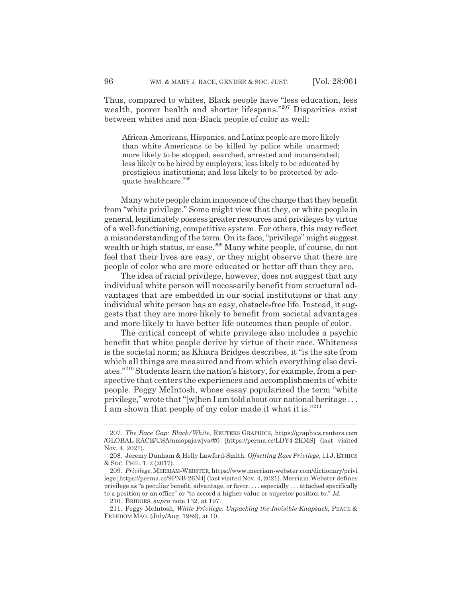Thus, compared to whites, Black people have "less education, less wealth, poorer health and shorter lifespans."207 Disparities exist between whites and non-Black people of color as well:

African-Americans, Hispanics, and Latinx people are more likely than white Americans to be killed by police while unarmed; more likely to be stopped, searched, arrested and incarcerated; less likely to be hired by employers; less likely to be educated by prestigious institutions; and less likely to be protected by adequate healthcare.<sup>208</sup>

Many white people claim innocence of the charge that they benefit from "white privilege." Some might view that they, or white people in general, legitimately possess greater resources and privileges by virtue of a well-functioning, competitive system. For others, this may reflect a misunderstanding of the term. On its face, "privilege" might suggest wealth or high status, or ease.<sup>209</sup> Many white people, of course, do not feel that their lives are easy, or they might observe that there are people of color who are more educated or better off than they are.

The idea of racial privilege, however, does not suggest that any individual white person will necessarily benefit from structural advantages that are embedded in our social institutions or that any individual white person has an easy, obstacle-free life. Instead, it suggests that they are more likely to benefit from societal advantages and more likely to have better life outcomes than people of color.

The critical concept of white privilege also includes a psychic benefit that white people derive by virtue of their race. Whiteness is the societal norm; as Khiara Bridges describes, it "is the site from which all things are measured and from which everything else deviates."210 Students learn the nation's history, for example, from a perspective that centers the experiences and accomplishments of white people. Peggy McIntosh, whose essay popularized the term "white privilege," wrote that "[w]hen I am told about our national heritage . . . I am shown that people of my color made it what it is."<sup>211</sup>

<sup>207.</sup> *The Race Gap: Black/White*, REUTERS GRAPHICS, https://graphics.reuters.com /GLOBAL-RACE/USA/nmopajawjva/#0 [https://perma.cc/LDY4-2KMS] (last visited Nov. 4, 2021).

<sup>208.</sup> Jeremy Dunham & Holly Lawford-Smith, *Offsetting Race Privilege*, 11 J. ETHICS & SOC. PHIL. 1, 2 (2017).

<sup>209.</sup> *Privilege*, MERRIAM-WEBSTER, https://www.merriam-webster.com/dictionary/privi lege [https://perma.cc/9PNB-26N4] (last visited Nov. 4, 2021). Merriam-Webster defines privilege as "a peculiar benefit, advantage, or favor, . . . especially . . . attached specifically to a position or an office" or "to accord a higher value or superior position to." *Id.*

<sup>210.</sup> BRIDGES, *supra* note 132, at 197.

<sup>211.</sup> Peggy McIntosh, *White Privilege: Unpacking the Invisible Knapsack*, PEACE & FREEDOM MAG. (July/Aug. 1989), at 10.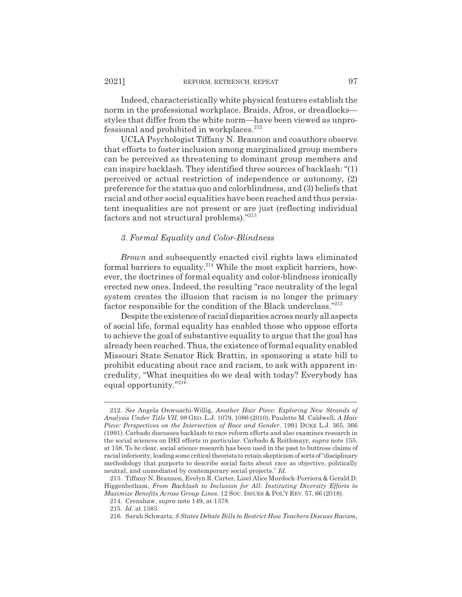Indeed, characteristically white physical features establish the norm in the professional workplace. Braids, Afros, or dreadlocks styles that differ from the white norm—have been viewed as unprofessional and prohibited in workplaces.<sup>212</sup>

UCLA Psychologist Tiffany N. Brannon and coauthors observe that efforts to foster inclusion among marginalized group members can be perceived as threatening to dominant group members and can inspire backlash. They identified three sources of backlash: "(1) perceived or actual restriction of independence or autonomy, (2) preference for the status quo and colorblindness, and (3) beliefs that racial and other social equalities have been reached and thus persistent inequalities are not present or are just (reflecting individual factors and not structural problems)."213

# *3. Formal Equality and Color-Blindness*

*Brown* and subsequently enacted civil rights laws eliminated formal barriers to equality.<sup>214</sup> While the most explicit barriers, however, the doctrines of formal equality and color-blindness ironically erected new ones. Indeed, the resulting "race neutrality of the legal system creates the illusion that racism is no longer the primary factor responsible for the condition of the Black underclass."215

Despite the existence of racial disparities across nearly all aspects of social life, formal equality has enabled those who oppose efforts to achieve the goal of substantive equality to argue that the goal has already been reached. Thus, the existence of formal equality enabled Missouri State Senator Rick Brattin, in sponsoring a state bill to prohibit educating about race and racism, to ask with apparent incredulity, "What inequities do we deal with today? Everybody has equal opportunity."216

<sup>212.</sup> *See* Angela Onwuachi-Willig, *Another Hair Piece: Exploring New Strands of Analysis Under Title VII*, 98 GEO. L.J. 1079, 1086 (2010); Paulette M. Caldwell, *A Hair Piece: Perspectives on the Intersection of Race and Gender*, 1991 DUKE L.J. 365, 366 (1991). Carbado discusses backlash to race reform efforts and also examines research in the social sciences on DEI efforts in particular. Carbado & Roithmayr, *supra* note 155, at 158. To be clear, social science research has been used in the past to buttress claims of racial inferiority, leading some critical theorists to retain skepticism of sorts of "disciplinary methodology that purports to describe social facts about race as objective, politically neutral, and unmediated by contemporary social projects." *Id.*

<sup>213.</sup> Tiffany N. Brannon, Evelyn R. Carter, Lisel Alice Murdock-Perriera & Gerald D. Higgenbotham, *From Backlash to Inclusion for All: Instituting Diversity Efforts to Maximize Benefits Across Group Lines*, 12 SOC. ISSUES & POL'Y REV. 57, 66 (2018).

<sup>214.</sup> Crenshaw, *supra* note 149, at 1378.

<sup>215.</sup> *Id.* at 1383.

<sup>216.</sup> Sarah Schwartz, *8 States Debate Bills to Restrict How Teachers Discuss Racism,*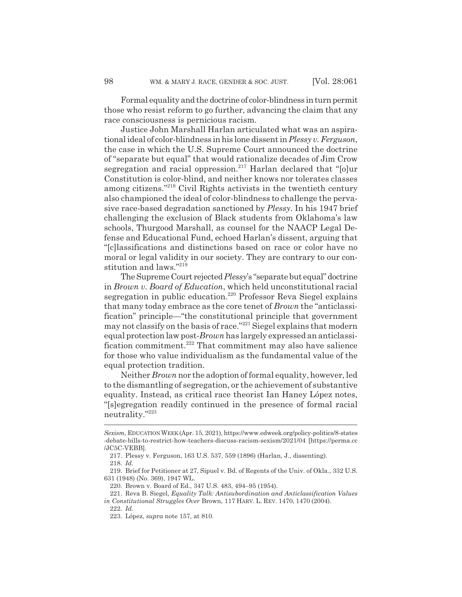Formal equality and the doctrine of color-blindness in turn permit those who resist reform to go further, advancing the claim that any race consciousness is pernicious racism.

Justice John Marshall Harlan articulated what was an aspirational ideal of color-blindness in his lone dissent in *Plessy v. Ferguson*, the case in which the U.S. Supreme Court announced the doctrine of "separate but equal" that would rationalize decades of Jim Crow segregation and racial oppression.<sup>217</sup> Harlan declared that " $[0]$ ur Constitution is color-blind, and neither knows nor tolerates classes among citizens."<sup>218</sup> Civil Rights activists in the twentieth century also championed the ideal of color-blindness to challenge the pervasive race-based degradation sanctioned by *Plessy*. In his 1947 brief challenging the exclusion of Black students from Oklahoma's law schools, Thurgood Marshall, as counsel for the NAACP Legal Defense and Educational Fund, echoed Harlan's dissent, arguing that "[c]lassifications and distinctions based on race or color have no moral or legal validity in our society. They are contrary to our constitution and laws."219

The Supreme Court rejected *Plessy*'s "separate but equal" doctrine in *Brown v. Board of Education*, which held unconstitutional racial segregation in public education.<sup>220</sup> Professor Reva Siegel explains that many today embrace as the core tenet of *Brown* the "anticlassification" principle—"the constitutional principle that government may not classify on the basis of race."221 Siegel explains that modern equal protection law post-*Brown* has largely expressed an anticlassification commitment.<sup>222</sup> That commitment may also have salience for those who value individualism as the fundamental value of the equal protection tradition.

Neither *Brown* nor the adoption of formal equality, however, led to the dismantling of segregation, or the achievement of substantive equality. Instead, as critical race theorist Ian Haney López notes, "[s]egregation readily continued in the presence of formal racial neutrality."223

222. *Id.*

*Sexism*, EDUCATIONWEEK (Apr. 15, 2021), https://www.edweek.org/policy-politics/8-states -debate-bills-to-restrict-how-teachers-discuss-racism-sexism/2021/04 [https://perma.cc /JC5C-VEBB].

<sup>217.</sup> Plessy v. Ferguson, 163 U.S. 537, 559 (1896) (Harlan, J., dissenting). 218. *Id.*

<sup>219.</sup> Brief for Petitioner at 27, Sipuel v. Bd. of Regents of the Univ. of Okla., 332 U.S. 631 (1948) (No. 369), 1947 WL.

<sup>220.</sup> Brown v. Board of Ed., 347 U.S. 483, 494–95 (1954).

<sup>221.</sup> Reva B. Siegel, *Equality Talk: Antisubordination and Anticlassification Values in Constitutional Struggles Over* Brown, 117 HARV. L. REV. 1470, 1470 (2004).

<sup>223.</sup> López, *supra* note 157, at 810.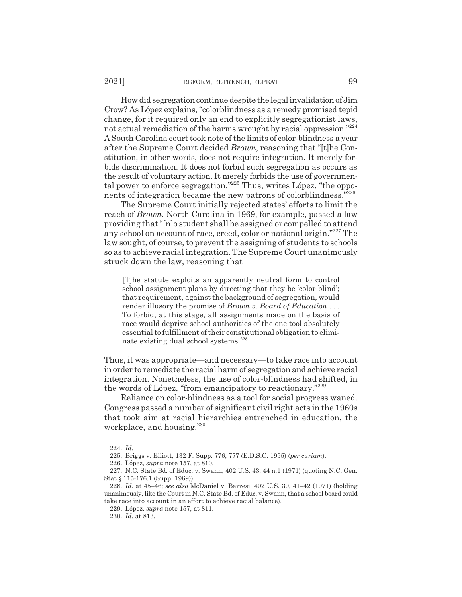How did segregation continue despite the legal invalidation of Jim Crow? As López explains, "colorblindness as a remedy promised tepid change, for it required only an end to explicitly segregationist laws, not actual remediation of the harms wrought by racial oppression."224 A South Carolina court took note of the limits of color-blindness a year after the Supreme Court decided *Brown*, reasoning that "[t]he Constitution, in other words, does not require integration. It merely forbids discrimination. It does not forbid such segregation as occurs as the result of voluntary action. It merely forbids the use of governmental power to enforce segregation."225 Thus, writes López, "the opponents of integration became the new patrons of colorblindness."226

The Supreme Court initially rejected states' efforts to limit the reach of *Brown.* North Carolina in 1969, for example, passed a law providing that "[n]o student shall be assigned or compelled to attend any school on account of race, creed, color or national origin."227 The law sought, of course, to prevent the assigning of students to schools so as to achieve racial integration. The Supreme Court unanimously struck down the law, reasoning that

[T]he statute exploits an apparently neutral form to control school assignment plans by directing that they be 'color blind'; that requirement, against the background of segregation, would render illusory the promise of *Brown v. Board of Education* . . . To forbid, at this stage, all assignments made on the basis of race would deprive school authorities of the one tool absolutely essential to fulfillment of their constitutional obligation to eliminate existing dual school systems.<sup>228</sup>

Thus, it was appropriate—and necessary—to take race into account in order to remediate the racial harm of segregation and achieve racial integration. Nonetheless, the use of color-blindness had shifted, in the words of López, "from emancipatory to reactionary."229

Reliance on color-blindness as a tool for social progress waned. Congress passed a number of significant civil right acts in the 1960s that took aim at racial hierarchies entrenched in education, the workplace, and housing.<sup>230</sup>

<sup>224.</sup> *Id.*

<sup>225.</sup> Briggs v. Elliott, 132 F. Supp. 776, 777 (E.D.S.C. 1955) (*per curiam*).

<sup>226.</sup> López, *supra* note 157, at 810.

<sup>227.</sup> N.C. State Bd. of Educ. v. Swann, 402 U.S. 43, 44 n.1 (1971) (quoting N.C. Gen. Stat § 115-176.1 (Supp. 1969)).

<sup>228.</sup> *Id.* at 45–46; *see also* McDaniel v. Barresi, 402 U.S. 39, 41–42 (1971) (holding unanimously, like the Court in N.C. State Bd. of Educ. v. Swann, that a school board could take race into account in an effort to achieve racial balance).

<sup>229.</sup> López, *supra* note 157, at 811.

<sup>230.</sup> *Id.* at 813.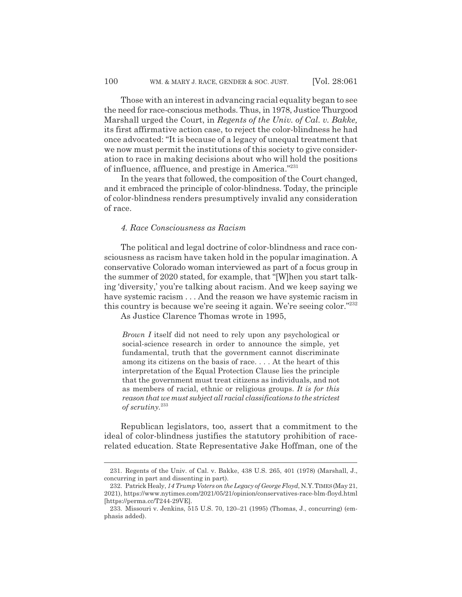Those with an interest in advancing racial equality began to see the need for race-conscious methods. Thus, in 1978, Justice Thurgood Marshall urged the Court, in *Regents of the Univ. of Cal. v. Bakke,* its first affirmative action case, to reject the color-blindness he had once advocated: "It is because of a legacy of unequal treatment that we now must permit the institutions of this society to give consideration to race in making decisions about who will hold the positions of influence, affluence, and prestige in America."231

In the years that followed, the composition of the Court changed, and it embraced the principle of color-blindness. Today, the principle of color-blindness renders presumptively invalid any consideration of race.

# *4. Race Consciousness as Racism*

The political and legal doctrine of color-blindness and race consciousness as racism have taken hold in the popular imagination. A conservative Colorado woman interviewed as part of a focus group in the summer of 2020 stated, for example, that "[W]hen you start talking 'diversity,' you're talking about racism. And we keep saying we have systemic racism . . . And the reason we have systemic racism in this country is because we're seeing it again. We're seeing color."232

As Justice Clarence Thomas wrote in 1995,

*Brown I* itself did not need to rely upon any psychological or social-science research in order to announce the simple, yet fundamental, truth that the government cannot discriminate among its citizens on the basis of race. . . . At the heart of this interpretation of the Equal Protection Clause lies the principle that the government must treat citizens as individuals, and not as members of racial, ethnic or religious groups. *It is for this reason that we must subject all racial classifications to the strictest of scrutiny.*<sup>233</sup>

Republican legislators, too, assert that a commitment to the ideal of color-blindness justifies the statutory prohibition of racerelated education. State Representative Jake Hoffman, one of the

<sup>231.</sup> Regents of the Univ. of Cal. v. Bakke, 438 U.S. 265, 401 (1978) (Marshall, J., concurring in part and dissenting in part).

<sup>232.</sup> Patrick Healy, *14 Trump Voters on the Legacy of George Floyd*, N.Y.TIMES(May 21, 2021), https://www.nytimes.com/2021/05/21/opinion/conservatives-race-blm-floyd.html [https://perma.cc/T244-29VE].

<sup>233.</sup> Missouri v. Jenkins, 515 U.S. 70, 120–21 (1995) (Thomas, J., concurring) (emphasis added).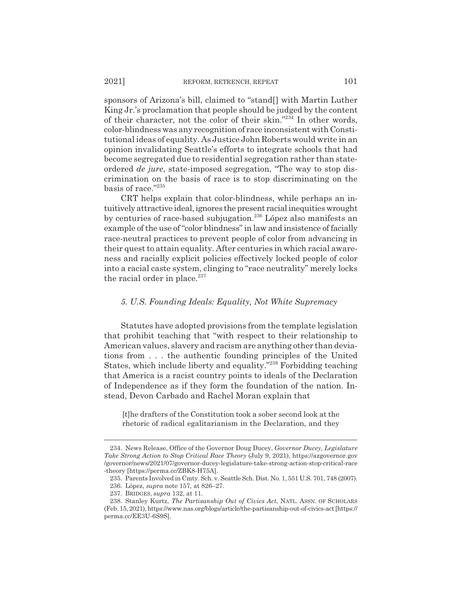sponsors of Arizona's bill, claimed to "stand[] with Martin Luther King Jr.'s proclamation that people should be judged by the content of their character, not the color of their skin."234 In other words, color-blindness was any recognition of race inconsistent with Constitutional ideas of equality. As Justice John Roberts would write in an opinion invalidating Seattle's efforts to integrate schools that had become segregated due to residential segregation rather than stateordered *de jure*, state-imposed segregation, "The way to stop discrimination on the basis of race is to stop discriminating on the basis of race."235

CRT helps explain that color-blindness, while perhaps an intuitively attractive ideal, ignores the present racial inequities wrought by centuries of race-based subjugation.236 López also manifests an example of the use of "color blindness" in law and insistence of facially race-neutral practices to prevent people of color from advancing in their quest to attain equality. After centuries in which racial awareness and racially explicit policies effectively locked people of color into a racial caste system, clinging to "race neutrality" merely locks the racial order in place. $237$ 

# *5. U.S. Founding Ideals: Equality, Not White Supremacy*

Statutes have adopted provisions from the template legislation that prohibit teaching that "with respect to their relationship to American values, slavery and racism are anything other than deviations from . . . the authentic founding principles of the United States, which include liberty and equality."238 Forbidding teaching that America is a racist country points to ideals of the Declaration of Independence as if they form the foundation of the nation. Instead, Devon Carbado and Rachel Moran explain that

[t]he drafters of the Constitution took a sober second look at the rhetoric of radical egalitarianism in the Declaration, and they

<sup>234.</sup> News Release, Office of the Governor Doug Ducey, *Governor Ducey, Legislature Take Strong Action to Stop Critical Race Theory* (July 9, 2021), https://azgovernor.gov /governor/news/2021/07/governor-ducey-legislature-take-strong-action-stop-critical-race -theory [https://perma.cc/ZBK8-H75A].

<sup>235.</sup> Parents Involved in Cmty. Sch. v. Seattle Sch. Dist. No. 1, 551 U.S. 701, 748 (2007). 236. López, *supra* note 157, at 826–27.

<sup>237.</sup> BRIDGES, *supra* 132, at 11.

<sup>238.</sup> Stanley Kurtz, *The Partisanship Out of Civics Act*, NATL. ASSN. OF SCHOLARS (Feb. 15, 2021), https://www.nas.org/blogs/article/the-partisanship-out-of-civics-act [https:// perma.cc/EE3U-6S9S].